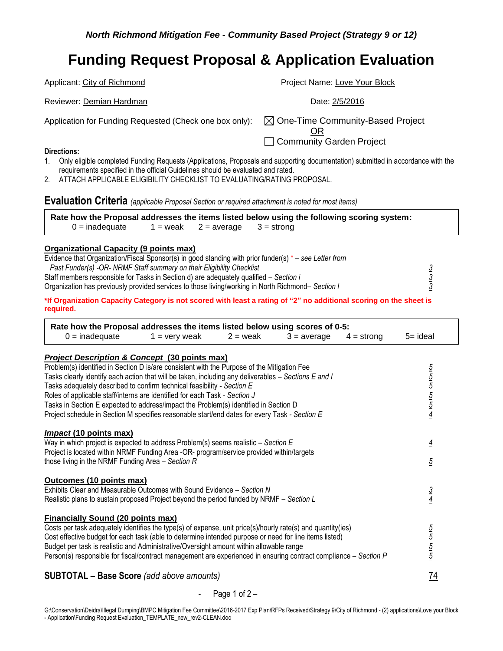| Applicant: City of Richmond                             | Project Name: Love Your Block                                                  |
|---------------------------------------------------------|--------------------------------------------------------------------------------|
| Reviewer: Demian Hardman                                | Date: 2/5/2016                                                                 |
| Application for Funding Requested (Check one box only): | $\boxtimes$ One-Time Community-Based Project<br>OR<br>Community Garden Project |
| Directions:                                             |                                                                                |

- 1. Only eligible completed Funding Requests (Applications, Proposals and supporting documentation) submitted in accordance with the requirements specified in the official Guidelines should be evaluated and rated.
- 2. ATTACH APPLICABLE ELIGIBILITY CHECKLIST TO EVALUATING/RATING PROPOSAL.

**Evaluation Criteria** *(applicable Proposal Section or required attachment is noted for most items)*

**Rate how the Proposal addresses the items listed below using the following scoring system:**   $0 =$  inadequate 1 = weak 2 = average 3 = strong

### **Organizational Capacity (9 points max)**

| Evidence that Organization/Fiscal Sponsor(s) in good standing with prior funder(s) $* -$ see Letter from |  |
|----------------------------------------------------------------------------------------------------------|--|
| Past Funder(s) -OR- NRMF Staff summary on their Eligibility Checklist                                    |  |
| Staff members responsible for Tasks in Section d) are adequately qualified – Section i                   |  |
| Organization has previously provided services to those living/working in North Richmond– Section I       |  |
|                                                                                                          |  |

**\*If Organization Capacity Category is not scored with least a rating of "2" no additional scoring on the sheet is required.** 

| Rate how the Proposal addresses the items listed below using scores of 0-5:<br>$0 =$ inadequate                                                         | $1 =$ very weak | $2 =$ weak | $3 = average$ | $4 =$ strong | $5 =$ ideal                                     |
|---------------------------------------------------------------------------------------------------------------------------------------------------------|-----------------|------------|---------------|--------------|-------------------------------------------------|
| <b>Project Description &amp; Concept (30 points max)</b>                                                                                                |                 |            |               |              |                                                 |
| Problem(s) identified in Section D is/are consistent with the Purpose of the Mitigation Fee                                                             |                 |            |               |              |                                                 |
| Tasks clearly identify each action that will be taken, including any deliverables - Sections E and I                                                    |                 |            |               |              |                                                 |
| Tasks adequately described to confirm technical feasibility - Section E                                                                                 |                 |            |               |              | $rac{5}{5}$ $rac{5}{5}$ $rac{5}{5}$ $rac{5}{4}$ |
| Roles of applicable staff/interns are identified for each Task - Section J                                                                              |                 |            |               |              |                                                 |
| Tasks in Section E expected to address/impact the Problem(s) identified in Section D                                                                    |                 |            |               |              |                                                 |
| Project schedule in Section M specifies reasonable start/end dates for every Task - Section E                                                           |                 |            |               |              |                                                 |
| <i>Impact</i> (10 points max)                                                                                                                           |                 |            |               |              |                                                 |
| Way in which project is expected to address Problem(s) seems realistic $-$ Section E                                                                    |                 |            |               |              | $\overline{4}$                                  |
| Project is located within NRMF Funding Area -OR- program/service provided within/targets                                                                |                 |            |               |              |                                                 |
| those living in the NRMF Funding Area $-$ Section R                                                                                                     |                 |            |               |              | $\overline{5}$                                  |
| Outcomes (10 points max)                                                                                                                                |                 |            |               |              |                                                 |
| Exhibits Clear and Measurable Outcomes with Sound Evidence - Section N                                                                                  |                 |            |               |              |                                                 |
| Realistic plans to sustain proposed Project beyond the period funded by NRMF – Section L                                                                |                 |            |               |              | $\frac{3}{4}$                                   |
|                                                                                                                                                         |                 |            |               |              |                                                 |
| <b>Financially Sound (20 points max)</b><br>Costs per task adequately identifies the type(s) of expense, unit price(s)/hourly rate(s) and quantity(ies) |                 |            |               |              |                                                 |
| Cost effective budget for each task (able to determine intended purpose or need for line items listed)                                                  |                 |            |               |              |                                                 |
| Budget per task is realistic and Administrative/Oversight amount within allowable range                                                                 |                 |            |               |              |                                                 |
| Person(s) responsible for fiscal/contract management are experienced in ensuring contract compliance – Section P                                        |                 |            |               |              | $\frac{5}{5}$ $\frac{5}{5}$                     |
|                                                                                                                                                         |                 |            |               |              |                                                 |
| <b>SUBTOTAL - Base Score</b> (add above amounts)                                                                                                        |                 |            |               |              | 74                                              |

### Page 1 of  $2 -$

G:\Conservation\Deidra\Illegal Dumping\BMPC Mitigation Fee Committee\2016-2017 Exp Plan\RFPs Received\Strategy 9\City of Richmond - (2) applications\Love your Block - Application\Funding Request Evaluation\_TEMPLATE\_new\_rev2-CLEAN.doc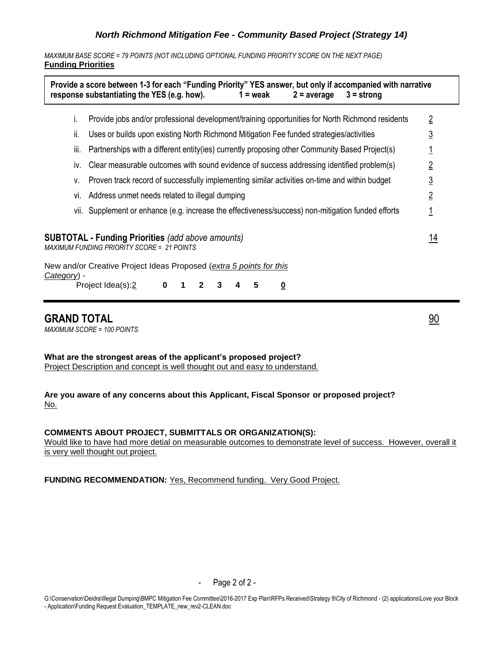*MAXIMUM BASE SCORE = 79 POINTS (NOT INCLUDING OPTIONAL FUNDING PRIORITY SCORE ON THE NEXT PAGE)* **Funding Priorities**

|             | Provide a score between 1-3 for each "Funding Priority" YES answer, but only if accompanied with narrative<br>response substantiating the YES (e.g. how).<br>$1 =$ weak<br>$2 = average$<br>$3 =$ strong |                |
|-------------|----------------------------------------------------------------------------------------------------------------------------------------------------------------------------------------------------------|----------------|
| Ť.          | Provide jobs and/or professional development/training opportunities for North Richmond residents                                                                                                         | $\overline{2}$ |
| Ïİ.         | Uses or builds upon existing North Richmond Mitigation Fee funded strategies/activities                                                                                                                  | $\overline{3}$ |
| III.        | Partnerships with a different entity (ies) currently proposing other Community Based Project(s)                                                                                                          |                |
| IV.         | Clear measurable outcomes with sound evidence of success addressing identified problem(s)                                                                                                                | $\overline{2}$ |
| v.          | Proven track record of successfully implementing similar activities on-time and within budget                                                                                                            | $\overline{3}$ |
| Vİ.         | Address unmet needs related to illegal dumping                                                                                                                                                           | $\overline{2}$ |
|             | vii. Supplement or enhance (e.g. increase the effectiveness/success) non-mitigation funded efforts                                                                                                       | 1              |
|             | <b>SUBTOTAL - Funding Priorities</b> (add above amounts)<br>MAXIMUM FUNDING PRIORITY SCORE = 21 POINTS<br>New and/or Creative Project Ideas Proposed (extra 5 points for this                            | <u> 14</u>     |
| Category) - | Project Idea(s):2<br>$\bf{0}$<br>5<br>3<br>2<br><u>0</u><br>1                                                                                                                                            |                |

## **GRAND TOTAL** 90

*MAXIMUM SCORE = 100 POINTS*

**What are the strongest areas of the applicant's proposed project?** Project Description and concept is well thought out and easy to understand.

**Are you aware of any concerns about this Applicant, Fiscal Sponsor or proposed project?** No.

#### **COMMENTS ABOUT PROJECT, SUBMITTALS OR ORGANIZATION(S):**

Would like to have had more detial on measurable outcomes to demonstrate level of success. However, overall it is very well thought out project.

**FUNDING RECOMMENDATION:** Yes, Recommend funding. Very Good Project.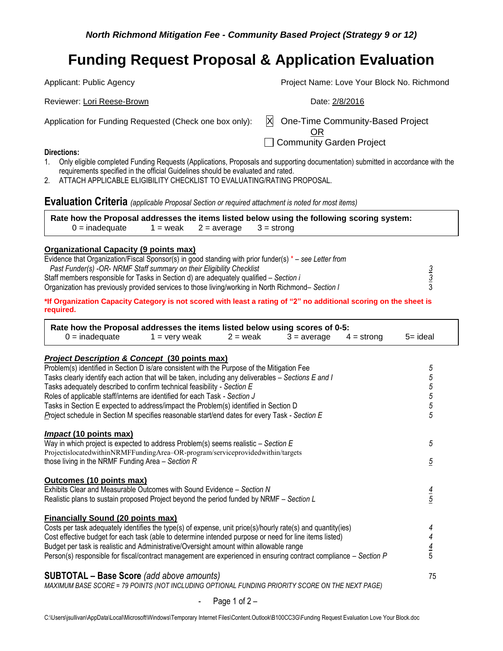Applicant: Public Agency **Project Name: Love Your Block No. Richmond** Reviewer: Lori Reese-Brown **Date: 2/8/2016** Reviewer: Lori Reese-Brown Application for Funding Requested (Check one box only):  $\mathbb{X}$  One-Time Community-Based Project OR □ Community Garden Project **Directions:**

- 1. Only eligible completed Funding Requests (Applications, Proposals and supporting documentation) submitted in accordance with the requirements specified in the official Guidelines should be evaluated and rated.
- 2. ATTACH APPLICABLE ELIGIBILITY CHECKLIST TO EVALUATING/RATING PROPOSAL.

**Evaluation Criteria** *(applicable Proposal Section or required attachment is noted for most items)*

|                  |  | Rate how the Proposal addresses the items listed below using the following scoring system: |  |
|------------------|--|--------------------------------------------------------------------------------------------|--|
| $0 =$ inadequate |  | $1 =$ weak $2 =$ average $3 =$ strong                                                      |  |

#### **Organizational Capacity (9 points max)**

| Evidence that Organization/Fiscal Sponsor(s) in good standing with prior funder(s) $* -$ see Letter from |  |
|----------------------------------------------------------------------------------------------------------|--|
| Past Funder(s) -OR- NRMF Staff summary on their Eligibility Checklist                                    |  |
| Staff members responsible for Tasks in Section d) are adequately qualified – Section i                   |  |
| Organization has previously provided services to those living/working in North Richmond– Section I       |  |
|                                                                                                          |  |

**\*If Organization Capacity Category is not scored with least a rating of "2" no additional scoring on the sheet is required.** 

| Rate how the Proposal addresses the items listed below using scores of 0-5:                                                                             |                 |            |               |              |                |
|---------------------------------------------------------------------------------------------------------------------------------------------------------|-----------------|------------|---------------|--------------|----------------|
| $0 =$ inadequate                                                                                                                                        | $1 =$ very weak | $2 =$ weak | $3 = average$ | $4 =$ strong | $5 = ideal$    |
|                                                                                                                                                         |                 |            |               |              |                |
| <b>Project Description &amp; Concept (30 points max)</b><br>Problem(s) identified in Section D is/are consistent with the Purpose of the Mitigation Fee |                 |            |               |              |                |
| Tasks clearly identify each action that will be taken, including any deliverables – Sections E and I                                                    |                 |            |               |              | 5              |
| Tasks adequately described to confirm technical feasibility - Section E                                                                                 |                 |            |               |              | 55555          |
| Roles of applicable staff/interns are identified for each Task - Section J                                                                              |                 |            |               |              |                |
| Tasks in Section E expected to address/impact the Problem(s) identified in Section D                                                                    |                 |            |               |              |                |
| Project schedule in Section M specifies reasonable start/end dates for every Task - Section E                                                           |                 |            |               |              |                |
|                                                                                                                                                         |                 |            |               |              |                |
| <i>Impact</i> (10 points max)                                                                                                                           |                 |            |               |              |                |
| Way in which project is expected to address Problem(s) seems realistic $-$ Section E                                                                    |                 |            |               |              | 5              |
| ProjectislocatedwithinNRMFFundingArea-OR-program/serviceprovidedwithin/targets                                                                          |                 |            |               |              |                |
| those living in the NRMF Funding Area $-$ Section R                                                                                                     |                 |            |               |              | $\overline{5}$ |
|                                                                                                                                                         |                 |            |               |              |                |
| Outcomes (10 points max)                                                                                                                                |                 |            |               |              |                |
| Exhibits Clear and Measurable Outcomes with Sound Evidence - Section N                                                                                  |                 |            |               |              | $\frac{4}{5}$  |
| Realistic plans to sustain proposed Project beyond the period funded by NRMF - Section L                                                                |                 |            |               |              |                |
|                                                                                                                                                         |                 |            |               |              |                |
| <b>Financially Sound (20 points max)</b>                                                                                                                |                 |            |               |              |                |
| Costs per task adequately identifies the type(s) of expense, unit price(s)/hourly rate(s) and quantity(ies)                                             |                 |            |               |              | 4              |
| Cost effective budget for each task (able to determine intended purpose or need for line items listed)                                                  |                 |            |               |              |                |
| Budget per task is realistic and Administrative/Oversight amount within allowable range                                                                 |                 |            |               |              | $\frac{4}{5}$  |
| Person(s) responsible for fiscal/contract management are experienced in ensuring contract compliance – Section P                                        |                 |            |               |              |                |
|                                                                                                                                                         |                 |            |               |              |                |
| <b>SUBTOTAL - Base Score</b> (add above amounts)                                                                                                        |                 |            |               |              | 75             |
| MAXIMUM BASE SCORE = 79 POINTS (NOT INCLUDING OPTIONAL FUNDING PRIORITY SCORE ON THE NEXT PAGE)                                                         |                 |            |               |              |                |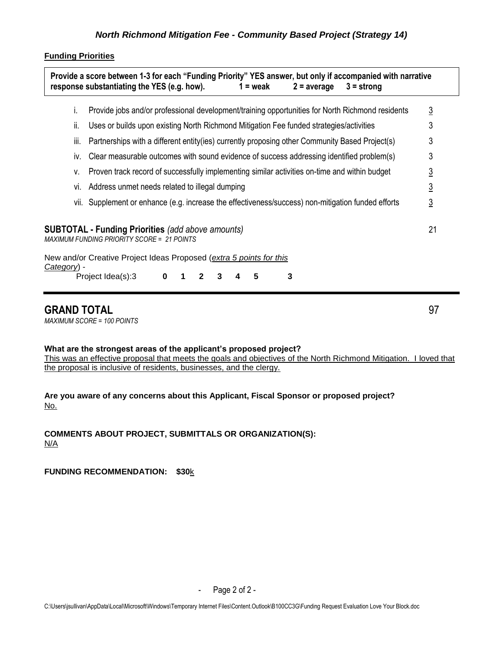## **Funding Priorities**

|             | Τ.   | Provide jobs and/or professional development/training opportunities for North Richmond residents              | $\overline{3}$ |
|-------------|------|---------------------------------------------------------------------------------------------------------------|----------------|
|             | Ш.   | Uses or builds upon existing North Richmond Mitigation Fee funded strategies/activities                       | 3              |
|             | iii. | Partnerships with a different entity(ies) currently proposing other Community Based Project(s)                | 3              |
|             | İV.  | Clear measurable outcomes with sound evidence of success addressing identified problem(s)                     | 3              |
|             | v.   | Proven track record of successfully implementing similar activities on-time and within budget                 | <u>3</u>       |
|             | Vİ.  | Address unmet needs related to illegal dumping                                                                | $\overline{3}$ |
|             | VII. | Supplement or enhance (e.g. increase the effectiveness/success) non-mitigation funded efforts                 | <u>3</u>       |
|             |      | <b>SUBTOTAL - Funding Priorities</b> (add above amounts)<br><b>MAXIMUM FUNDING PRIORITY SCORE = 21 POINTS</b> | 21             |
| Category) - |      | New and/or Creative Project Ideas Proposed (extra 5 points for this                                           |                |
|             |      | 3<br>Project Idea(s):3<br>5<br>$\mathbf{2}$<br>0                                                              |                |

## **GRAND TOTAL** 97

*MAXIMUM SCORE = 100 POINTS*

### **What are the strongest areas of the applicant's proposed project?**

This was an effective proposal that meets the goals and objectives of the North Richmond Mitigation. I loved that the proposal is inclusive of residents, businesses, and the clergy.

**Are you aware of any concerns about this Applicant, Fiscal Sponsor or proposed project?** No.

**COMMENTS ABOUT PROJECT, SUBMITTALS OR ORGANIZATION(S):**  N/A

**FUNDING RECOMMENDATION: \$30**k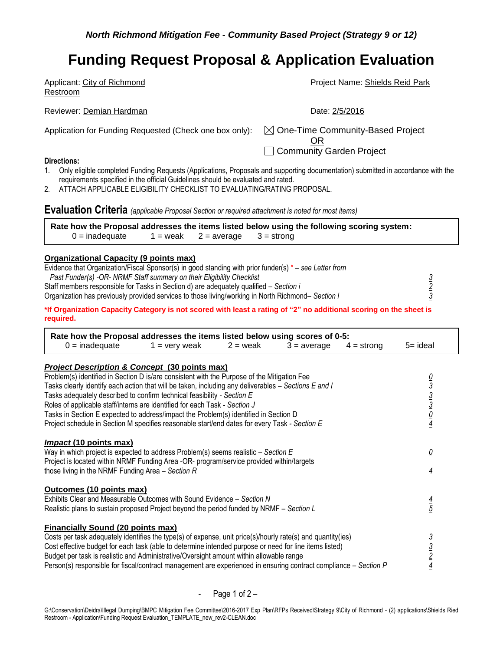| Applicant: City of Richmond<br>Restroom                                                                                                                                                                              | Project Name: Shields Reid Park                                                |
|----------------------------------------------------------------------------------------------------------------------------------------------------------------------------------------------------------------------|--------------------------------------------------------------------------------|
| Reviewer: Demian Hardman                                                                                                                                                                                             | Date: 2/5/2016                                                                 |
| Application for Funding Requested (Check one box only):                                                                                                                                                              | $\boxtimes$ One-Time Community-Based Project<br>OR<br>Community Garden Project |
| Directions:                                                                                                                                                                                                          |                                                                                |
| Only eligible completed Funding Requests (Applications, Proposals and supporting documentation) submitted in accordance with the<br>requirements specified in the official Guidelines should be evaluated and rated. |                                                                                |

2. ATTACH APPLICABLE ELIGIBILITY CHECKLIST TO EVALUATING/RATING PROPOSAL.

## **Evaluation Criteria** *(applicable Proposal Section or required attachment is noted for most items)*

|                  |  | Rate how the Proposal addresses the items listed below using the following scoring system: |  |
|------------------|--|--------------------------------------------------------------------------------------------|--|
| $0 =$ inadequate |  | $1 =$ weak $2 =$ average $3 =$ strong                                                      |  |

#### **Organizational Capacity (9 points max)**

| Evidence that Organization/Fiscal Sponsor(s) in good standing with prior funder(s) $* -$ see Letter from |  |
|----------------------------------------------------------------------------------------------------------|--|
| Past Funder(s) -OR- NRMF Staff summary on their Eligibility Checklist                                    |  |
| Staff members responsible for Tasks in Section d) are adequately qualified – Section i                   |  |
| Organization has previously provided services to those living/working in North Richmond– Section I       |  |
|                                                                                                          |  |

**\*If Organization Capacity Category is not scored with least a rating of "2" no additional scoring on the sheet is required.** 

| Rate how the Proposal addresses the items listed below using scores of 0-5:                                      |                 |            |               |              |                                                         |
|------------------------------------------------------------------------------------------------------------------|-----------------|------------|---------------|--------------|---------------------------------------------------------|
| $0 =$ inadequate                                                                                                 | $1 =$ very weak | $2 =$ weak | $3 = average$ | $4 =$ strong | $5 =$ ideal                                             |
| <b>Project Description &amp; Concept (30 points max)</b>                                                         |                 |            |               |              |                                                         |
| Problem(s) identified in Section D is/are consistent with the Purpose of the Mitigation Fee                      |                 |            |               |              |                                                         |
| Tasks clearly identify each action that will be taken, including any deliverables – Sections E and I             |                 |            |               |              | $\frac{0}{3}$ $\frac{3}{3}$ $\frac{3}{0}$ $\frac{0}{4}$ |
| Tasks adequately described to confirm technical feasibility - Section E                                          |                 |            |               |              |                                                         |
| Roles of applicable staff/interns are identified for each Task - Section J                                       |                 |            |               |              |                                                         |
| Tasks in Section E expected to address/impact the Problem(s) identified in Section D                             |                 |            |               |              |                                                         |
| Project schedule in Section M specifies reasonable start/end dates for every Task - Section E                    |                 |            |               |              |                                                         |
| <b>Impact (10 points max)</b>                                                                                    |                 |            |               |              |                                                         |
| Way in which project is expected to address Problem(s) seems realistic $-$ Section E                             |                 |            |               |              | <u>0</u>                                                |
| Project is located within NRMF Funding Area -OR- program/service provided within/targets                         |                 |            |               |              |                                                         |
| those living in the NRMF Funding Area $-$ Section R                                                              |                 |            |               |              | $\overline{4}$                                          |
| <b>Outcomes (10 points max)</b>                                                                                  |                 |            |               |              |                                                         |
| Exhibits Clear and Measurable Outcomes with Sound Evidence – Section N                                           |                 |            |               |              |                                                         |
| Realistic plans to sustain proposed Project beyond the period funded by NRMF - Section L                         |                 |            |               |              | $\frac{4}{5}$                                           |
| <b>Financially Sound (20 points max)</b>                                                                         |                 |            |               |              |                                                         |
| Costs per task adequately identifies the type(s) of expense, unit price(s)/hourly rate(s) and quantity(ies)      |                 |            |               |              |                                                         |
| Cost effective budget for each task (able to determine intended purpose or need for line items listed)           |                 |            |               |              | $\frac{3}{2}$ $\frac{3}{4}$                             |
| Budget per task is realistic and Administrative/Oversight amount within allowable range                          |                 |            |               |              |                                                         |
| Person(s) responsible for fiscal/contract management are experienced in ensuring contract compliance – Section P |                 |            |               |              |                                                         |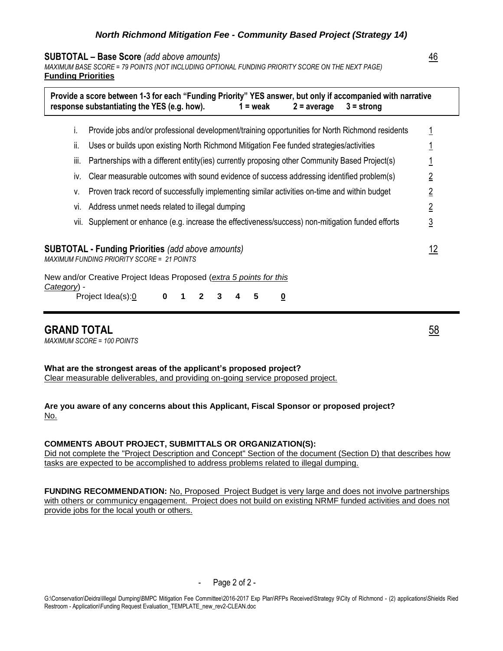#### **SUBTOTAL – Base Score** *(add above amounts)* 46

*MAXIMUM BASE SCORE = 79 POINTS (NOT INCLUDING OPTIONAL FUNDING PRIORITY SCORE ON THE NEXT PAGE)* **Funding Priorities**

|             |      | Provide a score between 1-3 for each "Funding Priority" YES answer, but only if accompanied with narrative<br>response substantiating the YES (e.g. how).<br>$1 =$ weak<br>$2 = average$<br>$3 =$ strong |                |  |
|-------------|------|----------------------------------------------------------------------------------------------------------------------------------------------------------------------------------------------------------|----------------|--|
|             | L.   | Provide jobs and/or professional development/training opportunities for North Richmond residents                                                                                                         |                |  |
|             | Ш.   | Uses or builds upon existing North Richmond Mitigation Fee funded strategies/activities                                                                                                                  |                |  |
|             | III. | Partnerships with a different entity(ies) currently proposing other Community Based Project(s)                                                                                                           |                |  |
|             | IV.  | Clear measurable outcomes with sound evidence of success addressing identified problem(s)                                                                                                                |                |  |
|             | v.   | Proven track record of successfully implementing similar activities on-time and within budget                                                                                                            | $\overline{2}$ |  |
|             | VI.  | Address unmet needs related to illegal dumping                                                                                                                                                           | $\overline{2}$ |  |
|             |      | vii. Supplement or enhance (e.g. increase the effectiveness/success) non-mitigation funded efforts                                                                                                       | $\overline{3}$ |  |
|             |      | <b>SUBTOTAL - Funding Priorities (add above amounts)</b><br><b>MAXIMUM FUNDING PRIORITY SCORE = 21 POINTS</b>                                                                                            | <u> 12</u>     |  |
| Category) - |      | New and/or Creative Project Ideas Proposed (extra 5 points for this<br>Project Idea(s):0<br>5<br>0<br>0<br>3                                                                                             |                |  |

## **GRAND TOTAL** 58

*MAXIMUM SCORE = 100 POINTS*

**What are the strongest areas of the applicant's proposed project?** Clear measurable deliverables, and providing on-going service proposed project.

**Are you aware of any concerns about this Applicant, Fiscal Sponsor or proposed project?** No.

#### **COMMENTS ABOUT PROJECT, SUBMITTALS OR ORGANIZATION(S):**

Did not complete the "Project Description and Concept" Section of the document (Section D) that describes how tasks are expected to be accomplished to address problems related to illegal dumping.

**FUNDING RECOMMENDATION:** No, Proposed Project Budget is very large and does not involve partnerships with others or communicy engagement. Project does not build on existing NRMF funded activities and does not provide jobs for the local youth or others.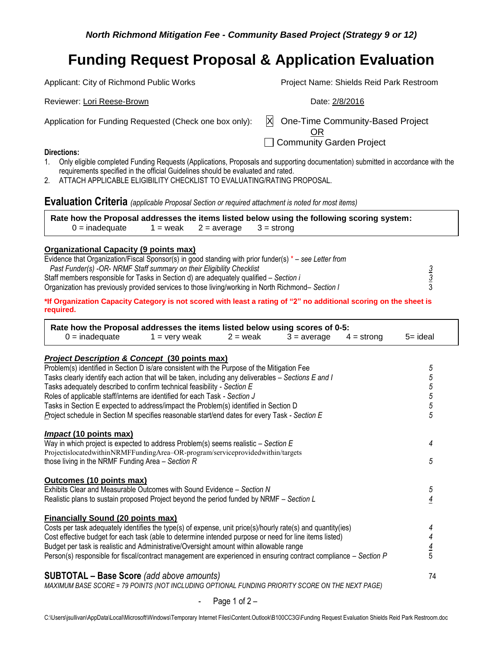Applicant: City of Richmond Public Works Project Name: Shields Reid Park Restroom Reviewer: Lori Reese-Brown **Date: 2/8/2016** Reviewer: Lori Reese-Brown Application for Funding Requested (Check one box only):  $\mathbb{X}$  One-Time Community-Based Project OR □ Community Garden Project **Directions:**

- 1. Only eligible completed Funding Requests (Applications, Proposals and supporting documentation) submitted in accordance with the requirements specified in the official Guidelines should be evaluated and rated.
- 2. ATTACH APPLICABLE ELIGIBILITY CHECKLIST TO EVALUATING/RATING PROPOSAL.

**Evaluation Criteria** *(applicable Proposal Section or required attachment is noted for most items)*

|                  |  | Rate how the Proposal addresses the items listed below using the following scoring system: |  |
|------------------|--|--------------------------------------------------------------------------------------------|--|
| $0 =$ inadequate |  | $1 =$ weak $2 =$ average $3 =$ strong                                                      |  |

#### **Organizational Capacity (9 points max)**

| Evidence that Organization/Fiscal Sponsor(s) in good standing with prior funder(s) $*$ – see Letter from |  |
|----------------------------------------------------------------------------------------------------------|--|
| Past Funder(s) -OR- NRMF Staff summary on their Eligibility Checklist                                    |  |
| Staff members responsible for Tasks in Section d) are adequately qualified – Section i                   |  |
| Organization has previously provided services to those living/working in North Richmond– Section I       |  |
|                                                                                                          |  |

**\*If Organization Capacity Category is not scored with least a rating of "2" no additional scoring on the sheet is required.** 

| Rate how the Proposal addresses the items listed below using scores of 0-5:                                                                                                                                 |                 |            |               |              |                          |
|-------------------------------------------------------------------------------------------------------------------------------------------------------------------------------------------------------------|-----------------|------------|---------------|--------------|--------------------------|
| $0 =$ inadequate                                                                                                                                                                                            | $1 =$ very weak | $2 =$ weak | $3 = average$ | $4 =$ strong | $5 =$ ideal              |
| <b>Project Description &amp; Concept (30 points max)</b>                                                                                                                                                    |                 |            |               |              |                          |
| Problem(s) identified in Section D is/are consistent with the Purpose of the Mitigation Fee                                                                                                                 |                 |            |               |              | 5                        |
| Tasks clearly identify each action that will be taken, including any deliverables – Sections E and I                                                                                                        |                 |            |               |              | 5                        |
| Tasks adequately described to confirm technical feasibility - Section E                                                                                                                                     |                 |            |               |              | $\overline{5}$           |
| Roles of applicable staff/interns are identified for each Task - Section J                                                                                                                                  |                 |            |               |              | $\overline{5}$           |
| Tasks in Section E expected to address/impact the Problem(s) identified in Section D                                                                                                                        |                 |            |               |              | 5                        |
| Project schedule in Section M specifies reasonable start/end dates for every Task - Section E                                                                                                               |                 |            |               |              | $\overline{5}$           |
|                                                                                                                                                                                                             |                 |            |               |              |                          |
| <i>Impact</i> (10 points max)                                                                                                                                                                               |                 |            |               |              |                          |
| Way in which project is expected to address Problem(s) seems realistic $-$ Section E<br>ProjectislocatedwithinNRMFFundingArea-OR-program/serviceprovidedwithin/targets                                      |                 |            |               |              | 4                        |
| those living in the NRMF Funding Area $-$ Section R                                                                                                                                                         |                 |            |               |              | 5                        |
|                                                                                                                                                                                                             |                 |            |               |              |                          |
| Outcomes (10 points max)                                                                                                                                                                                    |                 |            |               |              |                          |
| Exhibits Clear and Measurable Outcomes with Sound Evidence – Section N                                                                                                                                      |                 |            |               |              | 5                        |
| Realistic plans to sustain proposed Project beyond the period funded by NRMF - Section L                                                                                                                    |                 |            |               |              | $\overline{4}$           |
|                                                                                                                                                                                                             |                 |            |               |              |                          |
| <b>Financially Sound (20 points max)</b>                                                                                                                                                                    |                 |            |               |              |                          |
| Costs per task adequately identifies the type(s) of expense, unit price(s)/hourly rate(s) and quantity(ies)                                                                                                 |                 |            |               |              | 4                        |
| Cost effective budget for each task (able to determine intended purpose or need for line items listed)                                                                                                      |                 |            |               |              | $\overline{\mathcal{A}}$ |
| Budget per task is realistic and Administrative/Oversight amount within allowable range<br>Person(s) responsible for fiscal/contract management are experienced in ensuring contract compliance – Section P |                 |            |               |              | $\frac{4}{5}$            |
|                                                                                                                                                                                                             |                 |            |               |              |                          |
| <b>SUBTOTAL - Base Score</b> (add above amounts)                                                                                                                                                            |                 |            |               |              | 74                       |
| MAXIMUM BASE SCORE = 79 POINTS (NOT INCLUDING OPTIONAL FUNDING PRIORITY SCORE ON THE NEXT PAGE)                                                                                                             |                 |            |               |              |                          |
|                                                                                                                                                                                                             |                 |            |               |              |                          |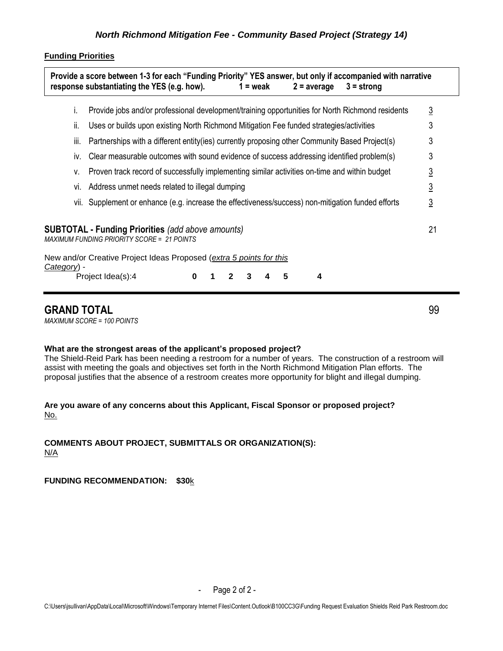### **Funding Priorities**

| ı.          | Provide jobs and/or professional development/training opportunities for North Richmond residents                                                                              | $\overline{3}$ |  |  |  |
|-------------|-------------------------------------------------------------------------------------------------------------------------------------------------------------------------------|----------------|--|--|--|
| ii.         | Uses or builds upon existing North Richmond Mitigation Fee funded strategies/activities                                                                                       | 3              |  |  |  |
| iii.        | Partnerships with a different entity(ies) currently proposing other Community Based Project(s)                                                                                | 3              |  |  |  |
| İV.         | Clear measurable outcomes with sound evidence of success addressing identified problem(s)                                                                                     | 3              |  |  |  |
| ٧.          | Proven track record of successfully implementing similar activities on-time and within budget                                                                                 | <u>3</u>       |  |  |  |
| VI.         | Address unmet needs related to illegal dumping                                                                                                                                |                |  |  |  |
|             | vii. Supplement or enhance (e.g. increase the effectiveness/success) non-mitigation funded efforts                                                                            | $\overline{3}$ |  |  |  |
|             | <b>SUBTOTAL - Funding Priorities</b> (add above amounts)<br>MAXIMUM FUNDING PRIORITY SCORE = 21 POINTS<br>New and/or Creative Project Ideas Proposed (extra 5 points for this | 21             |  |  |  |
| Category) - |                                                                                                                                                                               |                |  |  |  |

## **GRAND TOTAL** 99

*MAXIMUM SCORE = 100 POINTS*

### **What are the strongest areas of the applicant's proposed project?**

The Shield-Reid Park has been needing a restroom for a number of years. The construction of a restroom will assist with meeting the goals and objectives set forth in the North Richmond Mitigation Plan efforts. The proposal justifies that the absence of a restroom creates more opportunity for blight and illegal dumping.

### **Are you aware of any concerns about this Applicant, Fiscal Sponsor or proposed project?** No.

### **COMMENTS ABOUT PROJECT, SUBMITTALS OR ORGANIZATION(S):**  N/A

## **FUNDING RECOMMENDATION: \$30**k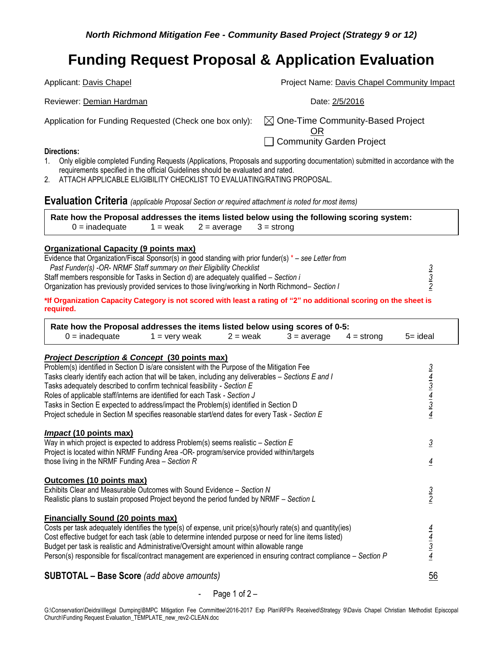Applicant: Davis Chapel **Project Name: Davis Chapel Community Impact** Reviewer: Demian Hardman **Date: 2/5/2016** Application for Funding Requested (Check one box only):  $\boxtimes$  One-Time Community-Based Project OR □ Community Garden Project

#### **Directions:**

- 1. Only eligible completed Funding Requests (Applications, Proposals and supporting documentation) submitted in accordance with the requirements specified in the official Guidelines should be evaluated and rated.
- 2. ATTACH APPLICABLE ELIGIBILITY CHECKLIST TO EVALUATING/RATING PROPOSAL.

**Evaluation Criteria** *(applicable Proposal Section or required attachment is noted for most items)*

**Rate how the Proposal addresses the items listed below using the following scoring system:**   $0 =$  inadequate 1 = weak 2 = average 3 = strong

#### **Organizational Capacity (9 points max)**

| Evidence that Organization/Fiscal Sponsor(s) in good standing with prior funder(s) $* -$ see Letter from |  |
|----------------------------------------------------------------------------------------------------------|--|
| Past Funder(s) -OR- NRMF Staff summary on their Eligibility Checklist                                    |  |
| Staff members responsible for Tasks in Section d) are adequately qualified – Section i                   |  |
| Organization has previously provided services to those living/working in North Richmond– Section I       |  |
|                                                                                                          |  |

**\*If Organization Capacity Category is not scored with least a rating of "2" no additional scoring on the sheet is required.** 

| Rate how the Proposal addresses the items listed below using scores of 0-5:                                                                                                                       |                 |            |               |              |                                                         |
|---------------------------------------------------------------------------------------------------------------------------------------------------------------------------------------------------|-----------------|------------|---------------|--------------|---------------------------------------------------------|
| $0 =$ inadequate                                                                                                                                                                                  | $1 =$ very weak | $2 =$ weak | $3 = average$ | $4 =$ strong | $5 = ideal$                                             |
|                                                                                                                                                                                                   |                 |            |               |              |                                                         |
| <b>Project Description &amp; Concept (30 points max)</b><br>Problem(s) identified in Section D is/are consistent with the Purpose of the Mitigation Fee                                           |                 |            |               |              |                                                         |
| Tasks clearly identify each action that will be taken, including any deliverables - Sections E and I                                                                                              |                 |            |               |              | $\frac{3}{4}$ $\frac{4}{3}$ $\frac{3}{4}$ $\frac{4}{3}$ |
| Tasks adequately described to confirm technical feasibility - Section E                                                                                                                           |                 |            |               |              |                                                         |
| Roles of applicable staff/interns are identified for each Task - Section J                                                                                                                        |                 |            |               |              |                                                         |
| Tasks in Section E expected to address/impact the Problem(s) identified in Section D                                                                                                              |                 |            |               |              |                                                         |
| Project schedule in Section M specifies reasonable start/end dates for every Task - Section E                                                                                                     |                 |            |               |              |                                                         |
| <i>Impact</i> (10 points max)                                                                                                                                                                     |                 |            |               |              |                                                         |
| Way in which project is expected to address Problem(s) seems realistic $-$ Section E                                                                                                              |                 |            |               |              | $\overline{3}$                                          |
| Project is located within NRMF Funding Area -OR- program/service provided within/targets                                                                                                          |                 |            |               |              |                                                         |
| those living in the NRMF Funding Area $-$ Section R                                                                                                                                               |                 |            |               |              | $\frac{4}{1}$                                           |
| Outcomes (10 points max)                                                                                                                                                                          |                 |            |               |              |                                                         |
| Exhibits Clear and Measurable Outcomes with Sound Evidence - Section N                                                                                                                            |                 |            |               |              |                                                         |
| Realistic plans to sustain proposed Project beyond the period funded by NRMF – Section L                                                                                                          |                 |            |               |              | $\frac{3}{2}$                                           |
|                                                                                                                                                                                                   |                 |            |               |              |                                                         |
| <b>Financially Sound (20 points max)</b>                                                                                                                                                          |                 |            |               |              |                                                         |
| Costs per task adequately identifies the type(s) of expense, unit price(s)/hourly rate(s) and quantity(ies)                                                                                       |                 |            |               |              |                                                         |
| Cost effective budget for each task (able to determine intended purpose or need for line items listed)<br>Budget per task is realistic and Administrative/Oversight amount within allowable range |                 |            |               |              |                                                         |
| Person(s) responsible for fiscal/contract management are experienced in ensuring contract compliance – Section P                                                                                  |                 |            |               |              | $\frac{\frac{4}{4}}{\frac{3}{4}}$                       |
|                                                                                                                                                                                                   |                 |            |               |              |                                                         |
| <b>SUBTOTAL - Base Score</b> (add above amounts)                                                                                                                                                  |                 |            |               |              | 56                                                      |

#### Page 1 of  $2 -$

G:\Conservation\Deidra\Illegal Dumping\BMPC Mitigation Fee Committee\2016-2017 Exp Plan\RFPs Received\Strategy 9\Davis Chapel Christian Methodist Episcopal Church\Funding Request Evaluation\_TEMPLATE\_new\_rev2-CLEAN.doc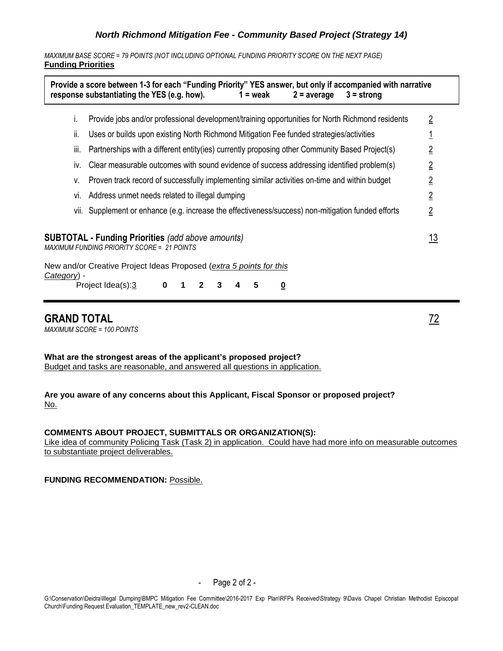*MAXIMUM BASE SCORE = 79 POINTS (NOT INCLUDING OPTIONAL FUNDING PRIORITY SCORE ON THE NEXT PAGE)* **Funding Priorities**

|                                                                                                                                                                                                    | Provide a score between 1-3 for each "Funding Priority" YES answer, but only if accompanied with narrative<br>response substantiating the YES (e.g. how).<br>$1 = \text{weak}$<br>$2 = average$<br>$3 =$ strong |                |  |  |  |
|----------------------------------------------------------------------------------------------------------------------------------------------------------------------------------------------------|-----------------------------------------------------------------------------------------------------------------------------------------------------------------------------------------------------------------|----------------|--|--|--|
| i.                                                                                                                                                                                                 | Provide jobs and/or professional development/training opportunities for North Richmond residents                                                                                                                | $\overline{2}$ |  |  |  |
| Ïİ.                                                                                                                                                                                                | Uses or builds upon existing North Richmond Mitigation Fee funded strategies/activities                                                                                                                         |                |  |  |  |
| iii.                                                                                                                                                                                               | Partnerships with a different entity (ies) currently proposing other Community Based Project(s)                                                                                                                 | $\overline{2}$ |  |  |  |
| İV.                                                                                                                                                                                                | Clear measurable outcomes with sound evidence of success addressing identified problem(s)                                                                                                                       | $\overline{2}$ |  |  |  |
| v.                                                                                                                                                                                                 | Proven track record of successfully implementing similar activities on-time and within budget                                                                                                                   |                |  |  |  |
|                                                                                                                                                                                                    | Address unmet needs related to illegal dumping<br>Vİ.                                                                                                                                                           |                |  |  |  |
|                                                                                                                                                                                                    | vii. Supplement or enhance (e.g. increase the effectiveness/success) non-mitigation funded efforts                                                                                                              | $\overline{2}$ |  |  |  |
| <u> 13</u><br><b>SUBTOTAL - Funding Priorities</b> (add above amounts)<br><b>MAXIMUM FUNDING PRIORITY SCORE = 21 POINTS</b><br>New and/or Creative Project Ideas Proposed (extra 5 points for this |                                                                                                                                                                                                                 |                |  |  |  |
| Category) -                                                                                                                                                                                        | Project Idea(s):3<br>$\bf{0}$<br>3<br>5<br>2<br><u>0</u><br>1                                                                                                                                                   |                |  |  |  |

## **GRAND TOTAL** 72

*MAXIMUM SCORE = 100 POINTS*

**What are the strongest areas of the applicant's proposed project?** Budget and tasks are reasonable, and answered all questions in application.

**Are you aware of any concerns about this Applicant, Fiscal Sponsor or proposed project?** No.

#### **COMMENTS ABOUT PROJECT, SUBMITTALS OR ORGANIZATION(S):**

Like idea of community Policing Task (Task 2) in application. Could have had more info on measurable outcomes to substantiate project deliverables.

**FUNDING RECOMMENDATION: Possible.**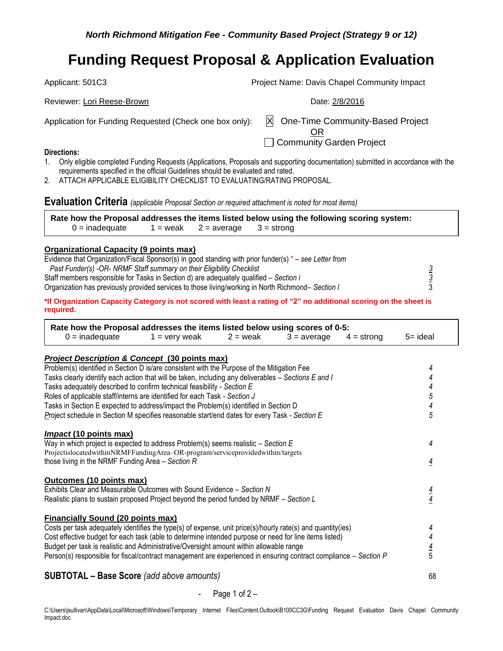Applicant: 501C3 Project Name: Davis Chapel Community Impact

Application for Funding Requested (Check one box only):  $\mathbb{X}$  One-Time Community-Based Project

Reviewer: Lori Reese-Brown **Date: 2/8/2016** Reviewer: Lori Reese-Brown

OR

Community Garden Project

#### **Directions:**

- 1. Only eligible completed Funding Requests (Applications, Proposals and supporting documentation) submitted in accordance with the requirements specified in the official Guidelines should be evaluated and rated.
- 2. ATTACH APPLICABLE ELIGIBILITY CHECKLIST TO EVALUATING/RATING PROPOSAL.

**Evaluation Criteria** *(applicable Proposal Section or required attachment is noted for most items)*

|                  |                                       | Rate how the Proposal addresses the items listed below using the following scoring system: |  |
|------------------|---------------------------------------|--------------------------------------------------------------------------------------------|--|
| $0 =$ inadequate | $1 =$ weak $2 =$ average $3 =$ strong |                                                                                            |  |

### **Organizational Capacity (9 points max)**

| Evidence that Organization/Fiscal Sponsor(s) in good standing with prior funder(s) $*$ – see Letter from |  |
|----------------------------------------------------------------------------------------------------------|--|
| Past Funder(s) -OR- NRMF Staff summary on their Eligibility Checklist                                    |  |
| Staff members responsible for Tasks in Section d) are adequately qualified – Section i                   |  |
| Organization has previously provided services to those living/working in North Richmond– Section I       |  |

**\*If Organization Capacity Category is not scored with least a rating of "2" no additional scoring on the sheet is required.** 

| $0 =$ inadequate                                                                                                 | $1 =$ very weak                                                                                                                                                                                                                                                                                                                                                                                                                                                                            | $2 =$ weak | $3 = average$ | $4 =$ strong | 5= ideal       |
|------------------------------------------------------------------------------------------------------------------|--------------------------------------------------------------------------------------------------------------------------------------------------------------------------------------------------------------------------------------------------------------------------------------------------------------------------------------------------------------------------------------------------------------------------------------------------------------------------------------------|------------|---------------|--------------|----------------|
| <b>Project Description &amp; Concept (30 points max)</b>                                                         |                                                                                                                                                                                                                                                                                                                                                                                                                                                                                            |            |               |              |                |
| Problem(s) identified in Section D is/are consistent with the Purpose of the Mitigation Fee                      |                                                                                                                                                                                                                                                                                                                                                                                                                                                                                            |            |               |              | 4              |
| Tasks clearly identify each action that will be taken, including any deliverables - Sections E and I             |                                                                                                                                                                                                                                                                                                                                                                                                                                                                                            |            |               |              |                |
| Tasks adequately described to confirm technical feasibility - Section E                                          |                                                                                                                                                                                                                                                                                                                                                                                                                                                                                            |            |               |              |                |
| Roles of applicable staff/interns are identified for each Task - Section J                                       |                                                                                                                                                                                                                                                                                                                                                                                                                                                                                            |            |               |              | 5              |
| Tasks in Section E expected to address/impact the Problem(s) identified in Section D                             |                                                                                                                                                                                                                                                                                                                                                                                                                                                                                            |            |               |              | 4              |
| Project schedule in Section M specifies reasonable start/end dates for every Task - Section E                    |                                                                                                                                                                                                                                                                                                                                                                                                                                                                                            |            |               |              | 5              |
| <i>Impact</i> (10 points max)                                                                                    |                                                                                                                                                                                                                                                                                                                                                                                                                                                                                            |            |               |              |                |
| Way in which project is expected to address Problem(s) seems realistic $-$ Section E                             |                                                                                                                                                                                                                                                                                                                                                                                                                                                                                            |            |               |              | 4              |
| ProjectislocatedwithinNRMFFundingArea-OR-program/serviceprovidedwithin/targets                                   |                                                                                                                                                                                                                                                                                                                                                                                                                                                                                            |            |               |              |                |
| those living in the NRMF Funding Area $-$ Section R                                                              |                                                                                                                                                                                                                                                                                                                                                                                                                                                                                            |            |               |              | $\overline{4}$ |
| Outcomes (10 points max)                                                                                         |                                                                                                                                                                                                                                                                                                                                                                                                                                                                                            |            |               |              |                |
| Exhibits Clear and Measurable Outcomes with Sound Evidence - Section N                                           |                                                                                                                                                                                                                                                                                                                                                                                                                                                                                            |            |               |              |                |
| Realistic plans to sustain proposed Project beyond the period funded by NRMF - Section L                         |                                                                                                                                                                                                                                                                                                                                                                                                                                                                                            |            |               |              | $\frac{4}{4}$  |
|                                                                                                                  |                                                                                                                                                                                                                                                                                                                                                                                                                                                                                            |            |               |              |                |
| <b>Financially Sound (20 points max)</b>                                                                         |                                                                                                                                                                                                                                                                                                                                                                                                                                                                                            |            |               |              |                |
| Costs per task adequately identifies the type(s) of expense, unit price(s)/hourly rate(s) and quantity(ies)      |                                                                                                                                                                                                                                                                                                                                                                                                                                                                                            |            |               |              | 4              |
| Cost effective budget for each task (able to determine intended purpose or need for line items listed)           |                                                                                                                                                                                                                                                                                                                                                                                                                                                                                            |            |               |              | 4              |
| Budget per task is realistic and Administrative/Oversight amount within allowable range                          |                                                                                                                                                                                                                                                                                                                                                                                                                                                                                            |            |               |              | $\frac{4}{5}$  |
| Person(s) responsible for fiscal/contract management are experienced in ensuring contract compliance - Section P |                                                                                                                                                                                                                                                                                                                                                                                                                                                                                            |            |               |              |                |
|                                                                                                                  | $\blacksquare$ $\blacksquare$ $\blacksquare$ $\blacksquare$ $\blacksquare$ $\blacksquare$ $\blacksquare$ $\blacksquare$ $\blacksquare$ $\blacksquare$ $\blacksquare$ $\blacksquare$ $\blacksquare$ $\blacksquare$ $\blacksquare$ $\blacksquare$ $\blacksquare$ $\blacksquare$ $\blacksquare$ $\blacksquare$ $\blacksquare$ $\blacksquare$ $\blacksquare$ $\blacksquare$ $\blacksquare$ $\blacksquare$ $\blacksquare$ $\blacksquare$ $\blacksquare$ $\blacksquare$ $\blacksquare$ $\blacks$ |            |               |              |                |

## **SUBTOTAL – Base Score** *(add above amounts)* 68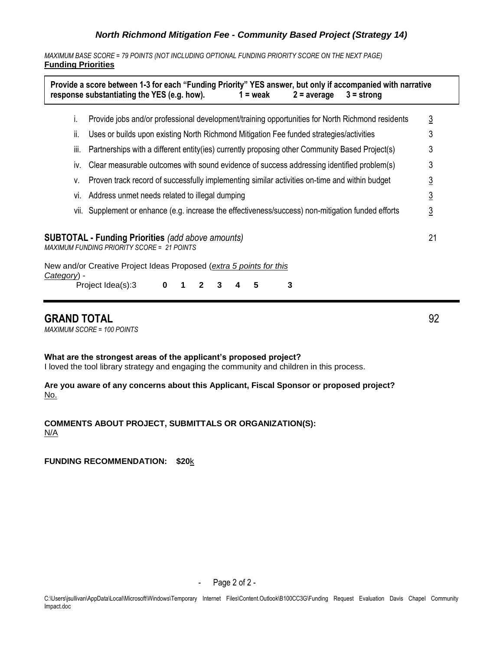*MAXIMUM BASE SCORE = 79 POINTS (NOT INCLUDING OPTIONAL FUNDING PRIORITY SCORE ON THE NEXT PAGE)* **Funding Priorities**

|             |                                                                                                     | Provide a score between 1-3 for each "Funding Priority" YES answer, but only if accompanied with narrative<br>response substantiating the YES (e.g. how).<br>$1 =$ weak<br>$2 = average$<br>$3 =$ strong |                |  |  |  |
|-------------|-----------------------------------------------------------------------------------------------------|----------------------------------------------------------------------------------------------------------------------------------------------------------------------------------------------------------|----------------|--|--|--|
|             | i.                                                                                                  | Provide jobs and/or professional development/training opportunities for North Richmond residents                                                                                                         | $\overline{3}$ |  |  |  |
|             | ii.                                                                                                 | Uses or builds upon existing North Richmond Mitigation Fee funded strategies/activities                                                                                                                  | 3              |  |  |  |
|             | III.                                                                                                | Partnerships with a different entity (ies) currently proposing other Community Based Project(s)                                                                                                          | 3              |  |  |  |
|             | İV.                                                                                                 | Clear measurable outcomes with sound evidence of success addressing identified problem(s)                                                                                                                | 3              |  |  |  |
|             | Proven track record of successfully implementing similar activities on-time and within budget<br>v. |                                                                                                                                                                                                          |                |  |  |  |
|             | Address unmet needs related to illegal dumping<br>VI.                                               |                                                                                                                                                                                                          |                |  |  |  |
|             |                                                                                                     | vii. Supplement or enhance (e.g. increase the effectiveness/success) non-mitigation funded efforts                                                                                                       | <u>3</u>       |  |  |  |
|             |                                                                                                     | <b>SUBTOTAL - Funding Priorities</b> (add above amounts)<br><b>MAXIMUM FUNDING PRIORITY SCORE = 21 POINTS</b>                                                                                            | 21             |  |  |  |
|             |                                                                                                     | New and/or Creative Project Ideas Proposed (extra 5 points for this                                                                                                                                      |                |  |  |  |
| Category) - |                                                                                                     | 3<br>Project Idea(s):3<br>0<br>5<br>2                                                                                                                                                                    |                |  |  |  |

## **GRAND TOTAL** 92

*MAXIMUM SCORE = 100 POINTS*

#### **What are the strongest areas of the applicant's proposed project?**

I loved the tool library strategy and engaging the community and children in this process.

### **Are you aware of any concerns about this Applicant, Fiscal Sponsor or proposed project?** No.

**COMMENTS ABOUT PROJECT, SUBMITTALS OR ORGANIZATION(S):**  N/A

**FUNDING RECOMMENDATION: \$20**k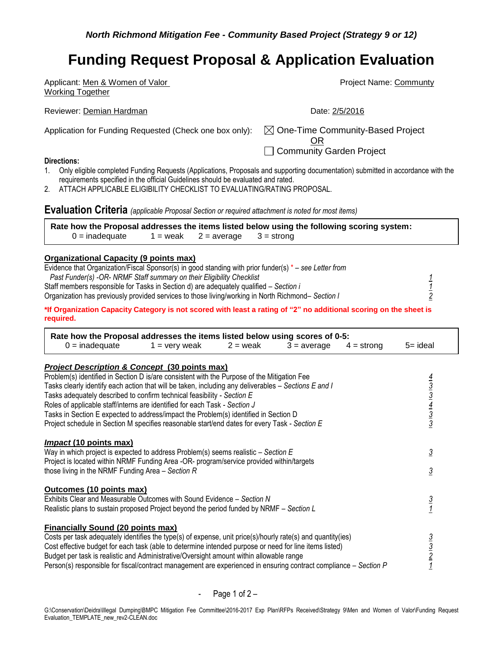| Applicant: Men & Women of Valor                                                                                                                                                                                      | <b>Project Name: Communty</b>                |
|----------------------------------------------------------------------------------------------------------------------------------------------------------------------------------------------------------------------|----------------------------------------------|
| <b>Working Together</b>                                                                                                                                                                                              |                                              |
| Reviewer: Demian Hardman                                                                                                                                                                                             | Date: 2/5/2016                               |
| Application for Funding Requested (Check one box only):                                                                                                                                                              | $\boxtimes$ One-Time Community-Based Project |
|                                                                                                                                                                                                                      | Community Garden Project                     |
| Directions:                                                                                                                                                                                                          |                                              |
| Only eligible completed Funding Requests (Applications, Proposals and supporting documentation) submitted in accordance with the<br>requirements specified in the official Guidelines should be evaluated and rated. |                                              |

2. ATTACH APPLICABLE ELIGIBILITY CHECKLIST TO EVALUATING/RATING PROPOSAL.

## **Evaluation Criteria** *(applicable Proposal Section or required attachment is noted for most items)*

|                  |                                       | Rate how the Proposal addresses the items listed below using the following scoring system: |  |
|------------------|---------------------------------------|--------------------------------------------------------------------------------------------|--|
| $0 =$ inadequate | $1 =$ weak $2 =$ average $3 =$ strong |                                                                                            |  |

#### **Organizational Capacity (9 points max)**

| Evidence that Organization/Fiscal Sponsor(s) in good standing with prior funder(s) $* -$ see Letter from |  |
|----------------------------------------------------------------------------------------------------------|--|
| Past Funder(s) -OR- NRMF Staff summary on their Eligibility Checklist                                    |  |
| Staff members responsible for Tasks in Section d) are adequately qualified – Section i                   |  |
| Organization has previously provided services to those living/working in North Richmond– Section I       |  |
|                                                                                                          |  |

**\*If Organization Capacity Category is not scored with least a rating of "2" no additional scoring on the sheet is required.** 

| Rate how the Proposal addresses the items listed below using scores of 0-5:                                      |                 |            |               |              |                                                         |
|------------------------------------------------------------------------------------------------------------------|-----------------|------------|---------------|--------------|---------------------------------------------------------|
| $0 =$ inadequate                                                                                                 | $1 =$ very weak | $2 =$ weak | $3 = average$ | $4 =$ strong | $5 =$ ideal                                             |
| <b>Project Description &amp; Concept (30 points max)</b>                                                         |                 |            |               |              |                                                         |
| Problem(s) identified in Section D is/are consistent with the Purpose of the Mitigation Fee                      |                 |            |               |              |                                                         |
| Tasks clearly identify each action that will be taken, including any deliverables – Sections E and I             |                 |            |               |              |                                                         |
| Tasks adequately described to confirm technical feasibility - Section E                                          |                 |            |               |              |                                                         |
| Roles of applicable staff/interns are identified for each Task - Section J                                       |                 |            |               |              |                                                         |
| Tasks in Section E expected to address/impact the Problem(s) identified in Section D                             |                 |            |               |              | $\frac{4}{3}$ $\frac{3}{4}$ $\frac{4}{3}$ $\frac{3}{3}$ |
| Project schedule in Section M specifies reasonable start/end dates for every Task - Section E                    |                 |            |               |              |                                                         |
| <b>Impact (10 points max)</b>                                                                                    |                 |            |               |              |                                                         |
| Way in which project is expected to address Problem(s) seems realistic $-$ Section E                             |                 |            |               |              | $\overline{3}$                                          |
| Project is located within NRMF Funding Area -OR- program/service provided within/targets                         |                 |            |               |              |                                                         |
| those living in the NRMF Funding Area $-$ Section R                                                              |                 |            |               |              | $\overline{3}$                                          |
| Outcomes (10 points max)                                                                                         |                 |            |               |              |                                                         |
| Exhibits Clear and Measurable Outcomes with Sound Evidence - Section N                                           |                 |            |               |              | $rac{3}{1}$                                             |
| Realistic plans to sustain proposed Project beyond the period funded by NRMF - Section L                         |                 |            |               |              |                                                         |
| <b>Financially Sound (20 points max)</b>                                                                         |                 |            |               |              |                                                         |
| Costs per task adequately identifies the type(s) of expense, unit price(s)/hourly rate(s) and quantity(ies)      |                 |            |               |              |                                                         |
| Cost effective budget for each task (able to determine intended purpose or need for line items listed)           |                 |            |               |              | $\frac{3}{2}$ $\frac{3}{2}$ $\frac{7}{1}$               |
| Budget per task is realistic and Administrative/Oversight amount within allowable range                          |                 |            |               |              |                                                         |
| Person(s) responsible for fiscal/contract management are experienced in ensuring contract compliance - Section P |                 |            |               |              |                                                         |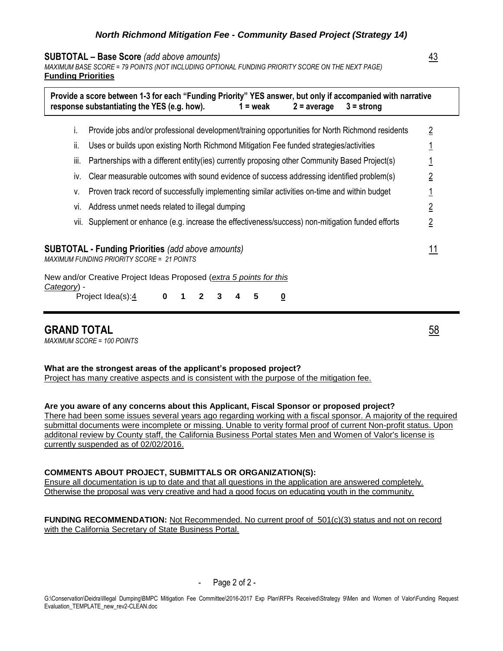#### **SUBTOTAL – Base Score** *(add above amounts)* 43

*MAXIMUM BASE SCORE = 79 POINTS (NOT INCLUDING OPTIONAL FUNDING PRIORITY SCORE ON THE NEXT PAGE)* **Funding Priorities**

|             |      | response substantiating the YES (e.g. how).                                                                   |   |              |   |   | $1 = \text{weak}$            | $2 = average$ | Provide a score between 1-3 for each "Funding Priority" YES answer, but only if accompanied with narrative<br>$3 =$ strong |                |
|-------------|------|---------------------------------------------------------------------------------------------------------------|---|--------------|---|---|------------------------------|---------------|----------------------------------------------------------------------------------------------------------------------------|----------------|
|             | T.   | Provide jobs and/or professional development/training opportunities for North Richmond residents              |   |              |   |   |                              |               |                                                                                                                            | $\overline{2}$ |
|             | Îİ.  | Uses or builds upon existing North Richmond Mitigation Fee funded strategies/activities                       |   |              |   |   |                              |               |                                                                                                                            |                |
|             | III. | Partnerships with a different entity (ies) currently proposing other Community Based Project(s)               |   |              |   |   |                              |               |                                                                                                                            |                |
|             | IV.  | Clear measurable outcomes with sound evidence of success addressing identified problem(s)                     |   |              |   |   |                              |               |                                                                                                                            | $\overline{2}$ |
|             | v.   | Proven track record of successfully implementing similar activities on-time and within budget                 |   |              |   |   |                              |               |                                                                                                                            |                |
|             | VI.  | Address unmet needs related to illegal dumping                                                                |   |              |   |   |                              |               |                                                                                                                            | $\overline{2}$ |
|             |      | vii. Supplement or enhance (e.g. increase the effectiveness/success) non-mitigation funded efforts            |   |              |   |   |                              |               |                                                                                                                            | $\overline{2}$ |
|             |      | <b>SUBTOTAL - Funding Priorities</b> (add above amounts)<br><b>MAXIMUM FUNDING PRIORITY SCORE = 21 POINTS</b> |   |              |   |   |                              |               |                                                                                                                            |                |
| Category) - |      | New and/or Creative Project Ideas Proposed (extra 5 points for this                                           |   |              |   |   |                              |               |                                                                                                                            |                |
|             |      | Project Idea(s):4                                                                                             | 0 | $\mathbf{2}$ | 3 | 4 | 5<br>$\overline{\mathbf{0}}$ |               |                                                                                                                            |                |

## **GRAND TOTAL** 58

*MAXIMUM SCORE = 100 POINTS*

#### **What are the strongest areas of the applicant's proposed project?**

Project has many creative aspects and is consistent with the purpose of the mitigation fee.

**Are you aware of any concerns about this Applicant, Fiscal Sponsor or proposed project?**

There had been some issues several years ago regarding working with a fiscal sponsor. A majority of the required submittal documents were incomplete or missing. Unable to verity formal proof of current Non-profit status. Upon additonal review by County staff, the California Business Portal states Men and Women of Valor's license is currently suspended as of 02/02/2016.

#### **COMMENTS ABOUT PROJECT, SUBMITTALS OR ORGANIZATION(S):**

Ensure all documentation is up to date and that all questions in the application are answered completely. Otherwise the proposal was very creative and had a good focus on educating youth in the community.

FUNDING RECOMMENDATION: Not Recommended. No current proof of 501(c)(3) status and not on record with the California Secretary of State Business Portal.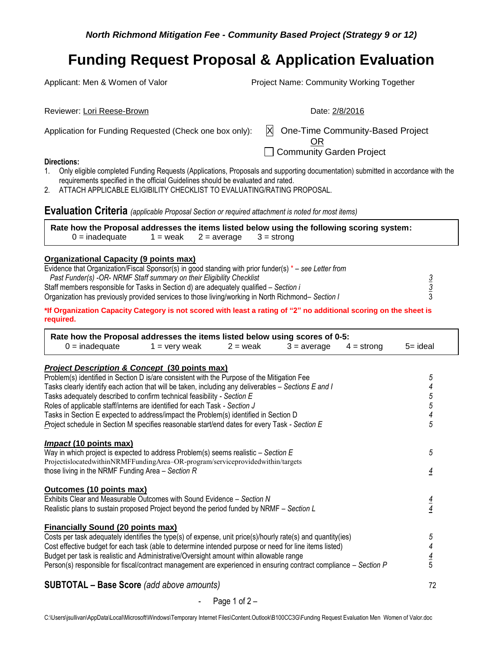Applicant: Men & Women of Valor **Project Name: Community Working Together** 

| Reviewer: Lori Reese-Brown                              | Date: 2/8/2016                                                         |
|---------------------------------------------------------|------------------------------------------------------------------------|
| Application for Funding Requested (Check one box only): | X One-Time Community-Based Project<br>OR<br>□ Community Garden Project |
| <b>Directions:</b>                                      |                                                                        |

- 1. Only eligible completed Funding Requests (Applications, Proposals and supporting documentation) submitted in accordance with the requirements specified in the official Guidelines should be evaluated and rated.
- 2. ATTACH APPLICABLE ELIGIBILITY CHECKLIST TO EVALUATING/RATING PROPOSAL.

**Evaluation Criteria** *(applicable Proposal Section or required attachment is noted for most items)*

|                  |                                       | Rate how the Proposal addresses the items listed below using the following scoring system: |  |
|------------------|---------------------------------------|--------------------------------------------------------------------------------------------|--|
| $0 =$ inadequate | $1 =$ weak $2 =$ average $3 =$ strong |                                                                                            |  |

#### **Organizational Capacity (9 points max)**

| Evidence that Organization/Fiscal Sponsor(s) in good standing with prior funder(s) $* -$ see Letter from |  |
|----------------------------------------------------------------------------------------------------------|--|
| Past Funder(s) -OR- NRMF Staff summary on their Eligibility Checklist                                    |  |
| Staff members responsible for Tasks in Section d) are adequately qualified – Section i                   |  |
| Organization has previously provided services to those living/working in North Richmond– Section I       |  |
|                                                                                                          |  |

**\*If Organization Capacity Category is not scored with least a rating of "2" no additional scoring on the sheet is required.** 

| Rate how the Proposal addresses the items listed below using scores of 0-5:<br>$0 =$ inadequate                  | $1 =$ very weak | $2 =$ weak | $3 = a$ verage | $4 =$ strong | 5= ideal                 |
|------------------------------------------------------------------------------------------------------------------|-----------------|------------|----------------|--------------|--------------------------|
| <b>Project Description &amp; Concept (30 points max)</b>                                                         |                 |            |                |              |                          |
| Problem(s) identified in Section D is/are consistent with the Purpose of the Mitigation Fee                      |                 |            |                |              | 5                        |
| Tasks clearly identify each action that will be taken, including any deliverables – Sections E and I             |                 |            |                |              | 4                        |
| Tasks adequately described to confirm technical feasibility - Section E                                          |                 |            |                |              | 5                        |
| Roles of applicable staff/interns are identified for each Task - Section J                                       |                 |            |                |              | $\overline{5}$           |
| Tasks in Section E expected to address/impact the Problem(s) identified in Section D                             |                 |            |                |              | $\overline{\mathcal{A}}$ |
| Project schedule in Section M specifies reasonable start/end dates for every Task - Section E                    |                 |            |                |              | 5                        |
| <i>Impact</i> (10 points max)                                                                                    |                 |            |                |              |                          |
| Way in which project is expected to address Problem(s) seems realistic $-$ Section E                             |                 |            |                |              | 5                        |
| ProjectislocatedwithinNRMFFundingArea-OR-program/serviceprovidedwithin/targets                                   |                 |            |                |              |                          |
| those living in the NRMF Funding Area $-$ Section R                                                              |                 |            |                |              | $\overline{4}$           |
| Outcomes (10 points max)                                                                                         |                 |            |                |              |                          |
| Exhibits Clear and Measurable Outcomes with Sound Evidence – Section N                                           |                 |            |                |              |                          |
| Realistic plans to sustain proposed Project beyond the period funded by NRMF – Section L                         |                 |            |                |              | $\frac{4}{4}$            |
| <b>Financially Sound (20 points max)</b>                                                                         |                 |            |                |              |                          |
| Costs per task adequately identifies the type(s) of expense, unit price(s)/hourly rate(s) and quantity(ies)      |                 |            |                |              | 5                        |
| Cost effective budget for each task (able to determine intended purpose or need for line items listed)           |                 |            |                |              |                          |
| Budget per task is realistic and Administrative/Oversight amount within allowable range                          |                 |            |                |              |                          |
| Person(s) responsible for fiscal/contract management are experienced in ensuring contract compliance - Section P |                 |            |                |              | $\frac{4}{5}$            |
|                                                                                                                  |                 |            |                |              |                          |
| <b>SUBTOTAL - Base Score</b> (add above amounts)                                                                 |                 |            |                |              | 72                       |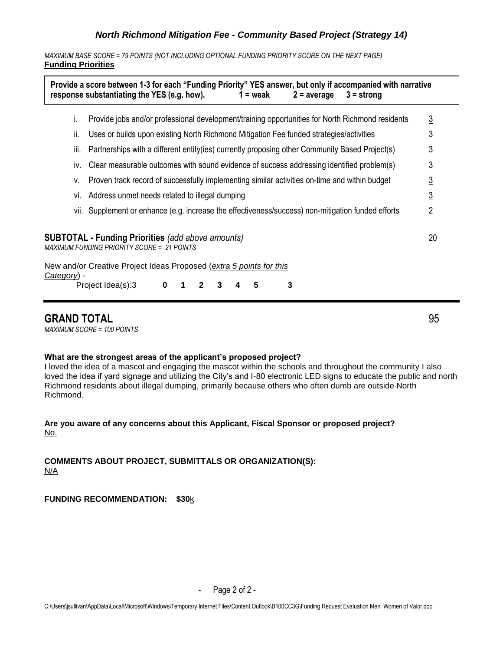*MAXIMUM BASE SCORE = 79 POINTS (NOT INCLUDING OPTIONAL FUNDING PRIORITY SCORE ON THE NEXT PAGE)* **Funding Priorities**

|             |      | response substantiating the YES (e.g. how).<br>$1 = \text{weak}$<br>$2 = average$<br>$3 =$ strong                             |                |
|-------------|------|-------------------------------------------------------------------------------------------------------------------------------|----------------|
|             | Ť.   | Provide jobs and/or professional development/training opportunities for North Richmond residents                              | $\overline{3}$ |
|             | ii.  | Uses or builds upon existing North Richmond Mitigation Fee funded strategies/activities                                       | 3              |
|             | III. | Partnerships with a different entity(ies) currently proposing other Community Based Project(s)                                | 3              |
|             | IV.  | Clear measurable outcomes with sound evidence of success addressing identified problem(s)                                     | 3              |
|             | v.   | Proven track record of successfully implementing similar activities on-time and within budget                                 | $\overline{3}$ |
|             | VI.  | Address unmet needs related to illegal dumping                                                                                | $\overline{3}$ |
|             |      | vii. Supplement or enhance (e.g. increase the effectiveness/success) non-mitigation funded efforts                            | $\overline{2}$ |
|             |      | <b>SUBTOTAL - Funding Priorities</b> (add above amounts)<br><b>MAXIMUM FUNDING PRIORITY SCORE = 21 POINTS</b>                 | 20             |
| Category) - |      | New and/or Creative Project Ideas Proposed (extra 5 points for this<br>3<br>$\bf{0}$<br>Project Idea(s):3<br>5<br>1<br>2<br>3 |                |

## **GRAND TOTAL** 95

*MAXIMUM SCORE = 100 POINTS*

### **What are the strongest areas of the applicant's proposed project?**

I loved the idea of a mascot and engaging the mascot within the schools and throughout the community I also loved the idea if yard signage and utilizing the City's and I-80 electronic LED signs to educate the public and north Richmond residents about illegal dumping, primarily because others who often dumb are outside North Richmond.

### **Are you aware of any concerns about this Applicant, Fiscal Sponsor or proposed project?** No.

**COMMENTS ABOUT PROJECT, SUBMITTALS OR ORGANIZATION(S):**  N/A

**FUNDING RECOMMENDATION: \$30**k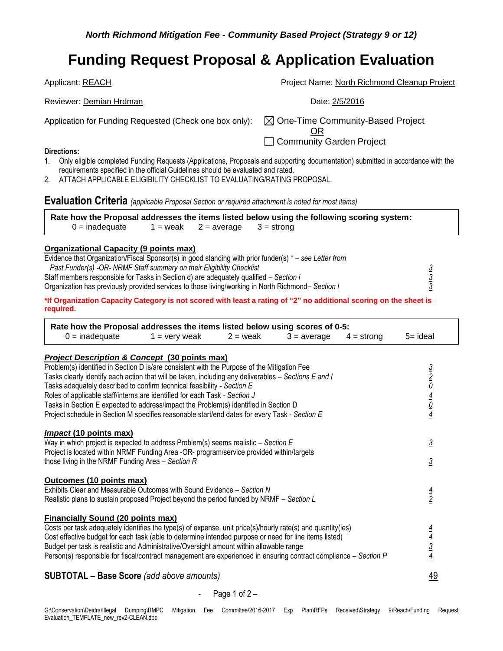Applicant: REACH **Project Name: North Richmond Cleanup Project** 

Application for Funding Requested (Check one box only):  $\boxtimes$  One-Time Community-Based Project

OR □ Community Garden Project

## **Directions:**

- 1. Only eligible completed Funding Requests (Applications, Proposals and supporting documentation) submitted in accordance with the requirements specified in the official Guidelines should be evaluated and rated.
- 2. ATTACH APPLICABLE ELIGIBILITY CHECKLIST TO EVALUATING/RATING PROPOSAL.

**Evaluation Criteria** *(applicable Proposal Section or required attachment is noted for most items)*

Reviewer: Demian Hrdman Date: 2/5/2016

**Rate how the Proposal addresses the items listed below using the following scoring system:**   $0 =$  inadequate  $1 =$  weak  $2 =$  average  $3 =$  strong

### **Organizational Capacity (9 points max)**

| Evidence that Organization/Fiscal Sponsor(s) in good standing with prior funder(s) $*$ – see Letter from |  |
|----------------------------------------------------------------------------------------------------------|--|
| Past Funder(s) -OR- NRMF Staff summary on their Eligibility Checklist                                    |  |
| Staff members responsible for Tasks in Section d) are adequately qualified – Section i                   |  |
| Organization has previously provided services to those living/working in North Richmond– Section I       |  |
|                                                                                                          |  |

**\*If Organization Capacity Category is not scored with least a rating of "2" no additional scoring on the sheet is required.** 

| Rate how the Proposal addresses the items listed below using scores of 0-5:                                                                                                                                                                                                                                                                                                                                                                                                                                                                           |                                      |            |               |              |                                                             |
|-------------------------------------------------------------------------------------------------------------------------------------------------------------------------------------------------------------------------------------------------------------------------------------------------------------------------------------------------------------------------------------------------------------------------------------------------------------------------------------------------------------------------------------------------------|--------------------------------------|------------|---------------|--------------|-------------------------------------------------------------|
| $0 =$ inadequate                                                                                                                                                                                                                                                                                                                                                                                                                                                                                                                                      | $1 =$ very weak                      | $2 =$ weak | $3 = average$ | $4 =$ strong | $5 = ideal$                                                 |
| <b>Project Description &amp; Concept (30 points max)</b>                                                                                                                                                                                                                                                                                                                                                                                                                                                                                              |                                      |            |               |              |                                                             |
| Problem(s) identified in Section D is/are consistent with the Purpose of the Mitigation Fee<br>Tasks clearly identify each action that will be taken, including any deliverables – Sections E and I<br>Tasks adequately described to confirm technical feasibility - Section E<br>Roles of applicable staff/interns are identified for each Task - Section J<br>Tasks in Section E expected to address/impact the Problem(s) identified in Section D<br>Project schedule in Section M specifies reasonable start/end dates for every Task - Section E |                                      |            |               |              | $rac{3}{2}$ $rac{2}{0}$ $rac{1}{4}$ $rac{4}{0}$ $rac{4}{4}$ |
| Impact (10 points max)<br>Way in which project is expected to address Problem(s) seems realistic $-$ Section E<br>Project is located within NRMF Funding Area -OR- program/service provided within/targets<br>those living in the NRMF Funding Area $-$ Section R                                                                                                                                                                                                                                                                                     |                                      |            |               |              | $\overline{3}$<br>$\overline{3}$                            |
| Outcomes (10 points max)<br>Exhibits Clear and Measurable Outcomes with Sound Evidence - Section N<br>Realistic plans to sustain proposed Project beyond the period funded by NRMF - Section L                                                                                                                                                                                                                                                                                                                                                        |                                      |            |               |              | $\frac{4}{2}$                                               |
| <b>Financially Sound (20 points max)</b><br>Costs per task adequately identifies the type(s) of expense, unit price(s)/hourly rate(s) and quantity(ies)<br>Cost effective budget for each task (able to determine intended purpose or need for line items listed)<br>Budget per task is realistic and Administrative/Oversight amount within allowable range<br>Person(s) responsible for fiscal/contract management are experienced in ensuring contract compliance – Section P                                                                      |                                      |            |               |              | $\frac{4}{4}$ $\frac{3}{4}$                                 |
|                                                                                                                                                                                                                                                                                                                                                                                                                                                                                                                                                       | $\bullet$ $\prime$ $\prime$ $\prime$ |            |               |              | $\sqrt{2}$                                                  |

## **SUBTOTAL – Base Score** *(add above amounts)* 49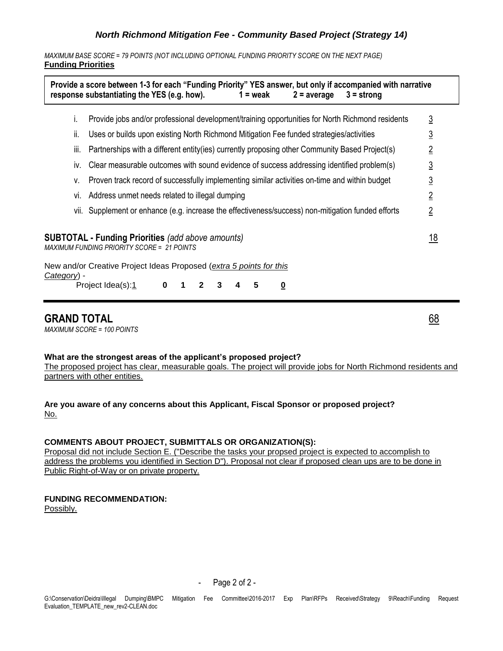*MAXIMUM BASE SCORE = 79 POINTS (NOT INCLUDING OPTIONAL FUNDING PRIORITY SCORE ON THE NEXT PAGE)* **Funding Priorities**

|             | Provide a score between 1-3 for each "Funding Priority" YES answer, but only if accompanied with narrative<br>response substantiating the YES (e.g. how).<br>$1 = \text{weak}$<br>$2 = average$<br>$3 =$ strong |                |  |  |  |  |
|-------------|-----------------------------------------------------------------------------------------------------------------------------------------------------------------------------------------------------------------|----------------|--|--|--|--|
| İ.          | Provide jobs and/or professional development/training opportunities for North Richmond residents                                                                                                                | $\overline{3}$ |  |  |  |  |
| ii.         | Uses or builds upon existing North Richmond Mitigation Fee funded strategies/activities                                                                                                                         | <u>3</u>       |  |  |  |  |
| Ш.          | Partnerships with a different entity (ies) currently proposing other Community Based Project(s)                                                                                                                 | $\overline{2}$ |  |  |  |  |
| İV.         | Clear measurable outcomes with sound evidence of success addressing identified problem(s)                                                                                                                       | <u>3</u>       |  |  |  |  |
| v.          | Proven track record of successfully implementing similar activities on-time and within budget                                                                                                                   | $\overline{3}$ |  |  |  |  |
| VI.         | Address unmet needs related to illegal dumping                                                                                                                                                                  |                |  |  |  |  |
|             | vii. Supplement or enhance (e.g. increase the effectiveness/success) non-mitigation funded efforts                                                                                                              | $\overline{2}$ |  |  |  |  |
|             | <b>SUBTOTAL - Funding Priorities</b> (add above amounts)<br><b>MAXIMUM FUNDING PRIORITY SCORE = 21 POINTS</b>                                                                                                   | <u> 18</u>     |  |  |  |  |
|             | New and/or Creative Project Ideas Proposed (extra 5 points for this                                                                                                                                             |                |  |  |  |  |
| Category) - | Project Idea(s):1<br>$\mathbf 0$<br>3<br>5<br>$\blacksquare$<br>$\mathbf{2}$<br><u>0</u>                                                                                                                        |                |  |  |  |  |
|             |                                                                                                                                                                                                                 |                |  |  |  |  |

## **GRAND TOTAL** 68

*MAXIMUM SCORE = 100 POINTS*

**What are the strongest areas of the applicant's proposed project?**

The proposed project has clear, measurable goals. The project will provide jobs for North Richmond residents and partners with other entities.

**Are you aware of any concerns about this Applicant, Fiscal Sponsor or proposed project?** No.

## **COMMENTS ABOUT PROJECT, SUBMITTALS OR ORGANIZATION(S):**

Proposal did not include Section E. ("Describe the tasks your propsed project is expected to accomplish to address the problems you identified in Section D"). Proposal not clear if proposed clean ups are to be done in Public Right-of-Way or on private property.

## **FUNDING RECOMMENDATION:**

Possibly.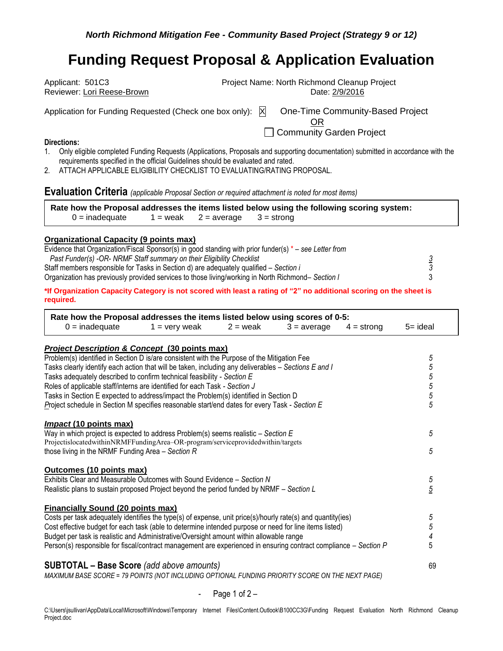| Project Name: North Richmond Cleanup Project<br>Applicant: 501C3 |                                  |  |  |  |
|------------------------------------------------------------------|----------------------------------|--|--|--|
| Reviewer: Lori Reese-Brown                                       | Date: 2/9/2016                   |  |  |  |
| Application for Funding Requested (Check one box only): X        | One-Time Community-Based Project |  |  |  |
|                                                                  | Community Garden Project         |  |  |  |
| Directions:                                                      |                                  |  |  |  |

- 1. Only eligible completed Funding Requests (Applications, Proposals and supporting documentation) submitted in accordance with the requirements specified in the official Guidelines should be evaluated and rated.
- 2. ATTACH APPLICABLE ELIGIBILITY CHECKLIST TO EVALUATING/RATING PROPOSAL.

**Evaluation Criteria** *(applicable Proposal Section or required attachment is noted for most items)*

|                  |  | Rate how the Proposal addresses the items listed below using the following scoring system: |
|------------------|--|--------------------------------------------------------------------------------------------|
| $0 =$ inadequate |  | $1 =$ weak $2 =$ average $3 =$ strong                                                      |

#### **Organizational Capacity (9 points max)**

| Evidence that Organization/Fiscal Sponsor(s) in good standing with prior funder(s) $*$ – see Letter from |  |
|----------------------------------------------------------------------------------------------------------|--|
| Past Funder(s) -OR- NRMF Staff summary on their Eligibility Checklist                                    |  |
| Staff members responsible for Tasks in Section d) are adequately qualified – Section i                   |  |
| Organization has previously provided services to those living/working in North Richmond– Section I       |  |

**\*If Organization Capacity Category is not scored with least a rating of "2" no additional scoring on the sheet is required.** 

| Rate how the Proposal addresses the items listed below using scores of 0-5:<br>$0 =$ inadequate<br>$1 =$ very weak<br>$2 =$ weak<br>$3 = average$<br>$4 =$ strong | $5 = ideal$ |
|-------------------------------------------------------------------------------------------------------------------------------------------------------------------|-------------|
| <b>Project Description &amp; Concept (30 points max)</b>                                                                                                          |             |
| Problem(s) identified in Section D is/are consistent with the Purpose of the Mitigation Fee                                                                       | 5           |
| Tasks clearly identify each action that will be taken, including any deliverables - Sections E and I                                                              | $\sqrt{5}$  |
| Tasks adequately described to confirm technical feasibility - Section E                                                                                           |             |
| Roles of applicable staff/interns are identified for each Task - Section J                                                                                        | 5<br>5      |
| Tasks in Section E expected to address/impact the Problem(s) identified in Section D                                                                              | 5           |
| Project schedule in Section M specifies reasonable start/end dates for every Task - Section E                                                                     | 5           |
| <b>Impact (10 points max)</b>                                                                                                                                     |             |
| Way in which project is expected to address Problem(s) seems realistic $-$ Section E                                                                              | 5           |
| ProjectislocatedwithinNRMFFundingArea-OR-program/serviceprovidedwithin/targets                                                                                    |             |
| those living in the NRMF Funding Area $-$ Section R                                                                                                               | 5           |
| Outcomes (10 points max)                                                                                                                                          |             |
| Exhibits Clear and Measurable Outcomes with Sound Evidence - Section N                                                                                            | 5           |
| Realistic plans to sustain proposed Project beyond the period funded by NRMF - Section L                                                                          | 5           |
| <b>Financially Sound (20 points max)</b>                                                                                                                          |             |
| Costs per task adequately identifies the type(s) of expense, unit price(s)/hourly rate(s) and quantity(ies)                                                       | 5           |
| Cost effective budget for each task (able to determine intended purpose or need for line items listed)                                                            | 5           |
| Budget per task is realistic and Administrative/Oversight amount within allowable range                                                                           | 4           |
| Person(s) responsible for fiscal/contract management are experienced in ensuring contract compliance - Section P                                                  | 5           |
| <b>SUBTOTAL - Base Score</b> (add above amounts)                                                                                                                  | 69          |
| MAVIMUM DASE SCODE – 70 DOINTS (NOT INCLUDING ODTIONAL EUNDING DRIODITY SCODE ON THE NEVT DACE)                                                                   |             |

*MAXIMUM BASE SCORE = 79 POINTS (NOT INCLUDING OPTIONAL FUNDING PRIORITY SCORE ON THE NEXT PAGE)*

- Page  $1$  of  $2 -$ 

C:\Users\jsullivan\AppData\Local\Microsoft\Windows\Temporary Internet Files\Content.Outlook\B100CC3G\Funding Request Evaluation North Richmond Cleanup Project.doc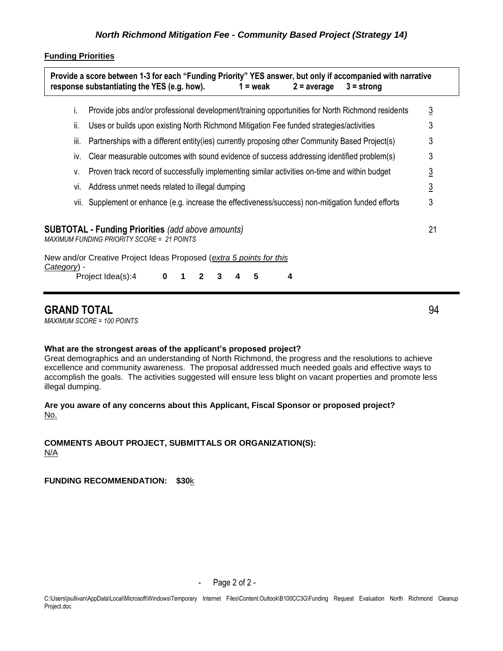#### **Funding Priorities**

|             | L.   | Provide jobs and/or professional development/training opportunities for North Richmond residents              | $\overline{3}$ |
|-------------|------|---------------------------------------------------------------------------------------------------------------|----------------|
|             | ii.  | Uses or builds upon existing North Richmond Mitigation Fee funded strategies/activities                       | 3              |
|             | iii. | Partnerships with a different entity(ies) currently proposing other Community Based Project(s)                | 3              |
|             | İV.  | Clear measurable outcomes with sound evidence of success addressing identified problem(s)                     | 3              |
|             | v.   | Proven track record of successfully implementing similar activities on-time and within budget                 | $\overline{3}$ |
|             | Vİ.  | Address unmet needs related to illegal dumping                                                                | $\overline{3}$ |
|             |      | vii. Supplement or enhance (e.g. increase the effectiveness/success) non-mitigation funded efforts            | 3              |
|             |      | <b>SUBTOTAL - Funding Priorities</b> (add above amounts)<br><b>MAXIMUM FUNDING PRIORITY SCORE = 21 POINTS</b> | 21             |
| Category) - |      | New and/or Creative Project Ideas Proposed (extra 5 points for this                                           |                |
|             |      | Project Idea(s):4<br>5<br>4<br>$\bf{0}$<br>$\mathbf{2}$<br>1<br>3                                             |                |

## **GRAND TOTAL** 94

*MAXIMUM SCORE = 100 POINTS*

### **What are the strongest areas of the applicant's proposed project?**

Great demographics and an understanding of North Richmond, the progress and the resolutions to achieve excellence and community awareness. The proposal addressed much needed goals and effective ways to accomplish the goals. The activities suggested will ensure less blight on vacant properties and promote less illegal dumping.

## **Are you aware of any concerns about this Applicant, Fiscal Sponsor or proposed project?** No.

### **COMMENTS ABOUT PROJECT, SUBMITTALS OR ORGANIZATION(S):**  N/A

## **FUNDING RECOMMENDATION: \$30**k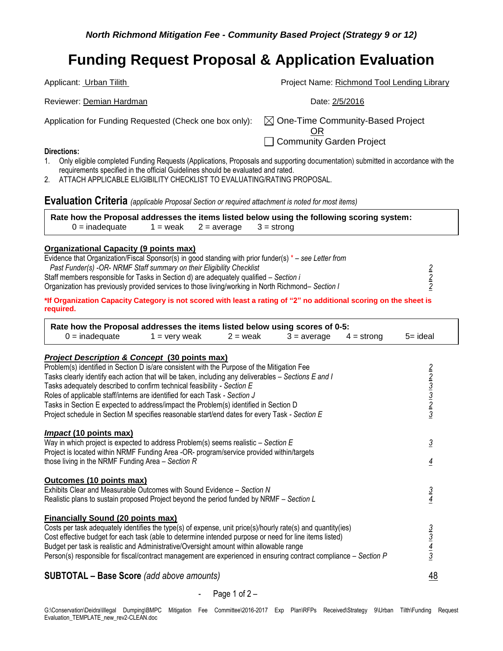Applicant: Urban Tilith **Project Name: Richmond Tool Lending Library** Project Name: Richmond Tool Lending Library Reviewer: Demian Hardman **Date: 2/5/2016** Application for Funding Requested (Check one box only):  $\boxtimes$  One-Time Community-Based Project OR □ Community Garden Project

#### **Directions:**

- 1. Only eligible completed Funding Requests (Applications, Proposals and supporting documentation) submitted in accordance with the requirements specified in the official Guidelines should be evaluated and rated.
- 2. ATTACH APPLICABLE ELIGIBILITY CHECKLIST TO EVALUATING/RATING PROPOSAL.

**Evaluation Criteria** *(applicable Proposal Section or required attachment is noted for most items)*

**Rate how the Proposal addresses the items listed below using the following scoring system:**   $0 =$  inadequate 1 = weak 2 = average 3 = strong

### **Organizational Capacity (9 points max)**

| Evidence that Organization/Fiscal Sponsor(s) in good standing with prior funder(s) $* -$ see Letter from |  |
|----------------------------------------------------------------------------------------------------------|--|
| Past Funder(s) -OR- NRMF Staff summary on their Eligibility Checklist                                    |  |
| Staff members responsible for Tasks in Section d) are adequately qualified – Section i                   |  |
| Organization has previously provided services to those living/working in North Richmond– Section I       |  |
|                                                                                                          |  |

**\*If Organization Capacity Category is not scored with least a rating of "2" no additional scoring on the sheet is required.** 

| Rate how the Proposal addresses the items listed below using scores of 0-5:                                                                                                                                                                                                                                                                                                                                                                                                                                                                           |                                      |            |               |              |                                                         |  |  |
|-------------------------------------------------------------------------------------------------------------------------------------------------------------------------------------------------------------------------------------------------------------------------------------------------------------------------------------------------------------------------------------------------------------------------------------------------------------------------------------------------------------------------------------------------------|--------------------------------------|------------|---------------|--------------|---------------------------------------------------------|--|--|
| $0 =$ inadequate                                                                                                                                                                                                                                                                                                                                                                                                                                                                                                                                      | $1 =$ very weak                      | $2 =$ weak | $3 = average$ | $4 =$ strong | $5 =$ ideal                                             |  |  |
| <b>Project Description &amp; Concept (30 points max)</b>                                                                                                                                                                                                                                                                                                                                                                                                                                                                                              |                                      |            |               |              |                                                         |  |  |
| Problem(s) identified in Section D is/are consistent with the Purpose of the Mitigation Fee<br>Tasks clearly identify each action that will be taken, including any deliverables – Sections E and I<br>Tasks adequately described to confirm technical feasibility - Section E<br>Roles of applicable staff/interns are identified for each Task - Section J<br>Tasks in Section E expected to address/impact the Problem(s) identified in Section D<br>Project schedule in Section M specifies reasonable start/end dates for every Task - Section E |                                      |            |               |              | $\frac{2}{2}$ $\frac{3}{3}$ $\frac{3}{2}$ $\frac{2}{3}$ |  |  |
| <b>Impact (10 points max)</b><br>Way in which project is expected to address Problem(s) seems realistic $-$ Section E<br>Project is located within NRMF Funding Area -OR- program/service provided within/targets                                                                                                                                                                                                                                                                                                                                     |                                      |            |               |              | $\overline{3}$                                          |  |  |
| those living in the NRMF Funding Area $-$ Section R                                                                                                                                                                                                                                                                                                                                                                                                                                                                                                   |                                      |            |               |              | $\overline{4}$                                          |  |  |
| Outcomes (10 points max)<br>Exhibits Clear and Measurable Outcomes with Sound Evidence - Section N<br>Realistic plans to sustain proposed Project beyond the period funded by NRMF - Section L                                                                                                                                                                                                                                                                                                                                                        |                                      |            |               |              | $rac{3}{4}$                                             |  |  |
| <b>Financially Sound (20 points max)</b><br>Costs per task adequately identifies the type(s) of expense, unit price(s)/hourly rate(s) and quantity(ies)<br>Cost effective budget for each task (able to determine intended purpose or need for line items listed)<br>Budget per task is realistic and Administrative/Oversight amount within allowable range<br>Person(s) responsible for fiscal/contract management are experienced in ensuring contract compliance – Section P                                                                      |                                      |            |               |              | $\frac{3}{3}$ $\frac{4}{3}$                             |  |  |
|                                                                                                                                                                                                                                                                                                                                                                                                                                                                                                                                                       | $\bullet$ $\prime$ $\prime$ $\prime$ |            |               |              | $\sqrt{2}$                                              |  |  |

## **SUBTOTAL – Base Score** *(add above amounts)* 48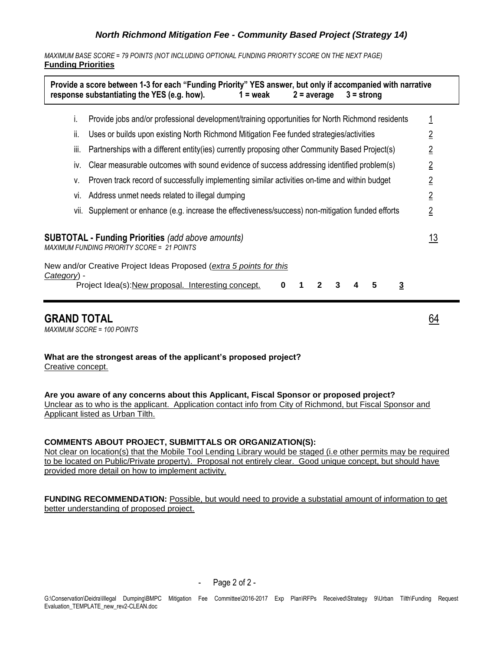*MAXIMUM BASE SCORE = 79 POINTS (NOT INCLUDING OPTIONAL FUNDING PRIORITY SCORE ON THE NEXT PAGE)* **Funding Priorities**

|             |      | Provide a score between 1-3 for each "Funding Priority" YES answer, but only if accompanied with narrative<br>response substantiating the YES (e.g. how).<br>$1 = \text{weak}$<br>$2 = average$<br>$3 =$ strong |                |
|-------------|------|-----------------------------------------------------------------------------------------------------------------------------------------------------------------------------------------------------------------|----------------|
|             | i.   | Provide jobs and/or professional development/training opportunities for North Richmond residents                                                                                                                |                |
|             | ii.  | Uses or builds upon existing North Richmond Mitigation Fee funded strategies/activities                                                                                                                         | $\overline{2}$ |
|             | iii. | Partnerships with a different entity (ies) currently proposing other Community Based Project(s)                                                                                                                 | $\overline{2}$ |
|             | İV.  | Clear measurable outcomes with sound evidence of success addressing identified problem(s)                                                                                                                       | $\overline{2}$ |
|             | v.   | Proven track record of successfully implementing similar activities on-time and within budget                                                                                                                   | $\overline{2}$ |
|             | VI.  | Address unmet needs related to illegal dumping                                                                                                                                                                  | $\overline{2}$ |
|             |      | vii. Supplement or enhance (e.g. increase the effectiveness/success) non-mitigation funded efforts                                                                                                              | $\overline{2}$ |
|             |      | <b>SUBTOTAL - Funding Priorities</b> (add above amounts)<br><b>MAXIMUM FUNDING PRIORITY SCORE = 21 POINTS</b>                                                                                                   | <u> 13</u>     |
| Category) - |      | New and/or Creative Project Ideas Proposed (extra 5 points for this                                                                                                                                             |                |
|             |      | Project Idea(s): New proposal. Interesting concept.<br>5<br>$\overline{3}$<br>$\bf{0}$<br>3                                                                                                                     |                |

## **GRAND TOTAL** 64

*MAXIMUM SCORE = 100 POINTS*

**What are the strongest areas of the applicant's proposed project?** Creative concept.

**Are you aware of any concerns about this Applicant, Fiscal Sponsor or proposed project?** Unclear as to who is the applicant. Application contact info from City of Richmond, but Fiscal Sponsor and Applicant listed as Urban Tilth.

### **COMMENTS ABOUT PROJECT, SUBMITTALS OR ORGANIZATION(S):**

Not clear on location(s) that the Mobile Tool Lending Library would be staged (i.e other permits may be required to be located on Public/Private property). Proposal not entirely clear. Good unique concept, but should have provided more detail on how to implement activity.

**FUNDING RECOMMENDATION:** Possible, but would need to provide a substatial amount of information to get better understanding of proposed project.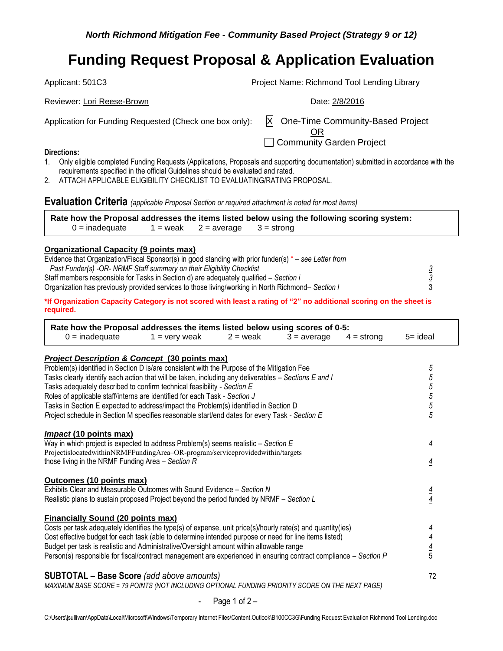Applicant: 501C3 Project Name: Richmond Tool Lending Library

Application for Funding Requested (Check one box only):  $\|X\|$  One-Time Community-Based Project

Reviewer: Lori Reese-Brown **Date: 2/8/2016** Reviewer: Lori Reese-Brown

OR

□ Community Garden Project

## **Directions:**

- 1. Only eligible completed Funding Requests (Applications, Proposals and supporting documentation) submitted in accordance with the requirements specified in the official Guidelines should be evaluated and rated.
- 2. ATTACH APPLICABLE ELIGIBILITY CHECKLIST TO EVALUATING/RATING PROPOSAL.

**Evaluation Criteria** *(applicable Proposal Section or required attachment is noted for most items)*

|                  |                                       | Rate how the Proposal addresses the items listed below using the following scoring system: |  |
|------------------|---------------------------------------|--------------------------------------------------------------------------------------------|--|
| $0 =$ inadequate | $1 =$ weak $2 =$ average $3 =$ strong |                                                                                            |  |

### **Organizational Capacity (9 points max)**

| Evidence that Organization/Fiscal Sponsor(s) in good standing with prior funder(s) $*$ – see Letter from |  |
|----------------------------------------------------------------------------------------------------------|--|
| Past Funder(s) -OR- NRMF Staff summary on their Eligibility Checklist                                    |  |
| Staff members responsible for Tasks in Section d) are adequately qualified – Section i                   |  |
| Organization has previously provided services to those living/working in North Richmond– Section I       |  |

**\*If Organization Capacity Category is not scored with least a rating of "2" no additional scoring on the sheet is required.** 

| Rate how the Proposal addresses the items listed below using scores of 0-5:                                      |                 |            |               |              |                |
|------------------------------------------------------------------------------------------------------------------|-----------------|------------|---------------|--------------|----------------|
| $0 =$ inadequate                                                                                                 | $1 =$ very weak | $2 =$ weak | $3 = average$ | $4 =$ strong | $5 =$ ideal    |
| <b>Project Description &amp; Concept (30 points max)</b>                                                         |                 |            |               |              |                |
| Problem(s) identified in Section D is/are consistent with the Purpose of the Mitigation Fee                      |                 |            |               |              | 5              |
| Tasks clearly identify each action that will be taken, including any deliverables – Sections E and I             |                 |            |               |              | 5              |
| Tasks adequately described to confirm technical feasibility - Section E                                          |                 |            |               |              | $\overline{5}$ |
| Roles of applicable staff/interns are identified for each Task - Section J                                       |                 |            |               |              | $\overline{5}$ |
| Tasks in Section E expected to address/impact the Problem(s) identified in Section D                             |                 |            |               |              | $\sqrt{5}$     |
| Project schedule in Section M specifies reasonable start/end dates for every Task - Section E                    |                 |            |               |              | 5              |
| <i>Impact</i> (10 points max)                                                                                    |                 |            |               |              |                |
| Way in which project is expected to address Problem(s) seems realistic $-$ Section E                             |                 |            |               |              | 4              |
| ProjectislocatedwithinNRMFFundingArea-OR-program/serviceprovidedwithin/targets                                   |                 |            |               |              |                |
| those living in the NRMF Funding Area $-$ Section R                                                              |                 |            |               |              | $\overline{4}$ |
| Outcomes (10 points max)                                                                                         |                 |            |               |              |                |
| Exhibits Clear and Measurable Outcomes with Sound Evidence - Section N                                           |                 |            |               |              |                |
| Realistic plans to sustain proposed Project beyond the period funded by NRMF – Section L                         |                 |            |               |              | $\frac{4}{4}$  |
| <b>Financially Sound (20 points max)</b>                                                                         |                 |            |               |              |                |
| Costs per task adequately identifies the type(s) of expense, unit price(s)/hourly rate(s) and quantity(ies)      |                 |            |               |              | 4              |
| Cost effective budget for each task (able to determine intended purpose or need for line items listed)           |                 |            |               |              |                |
| Budget per task is realistic and Administrative/Oversight amount within allowable range                          |                 |            |               |              | $\frac{4}{5}$  |
| Person(s) responsible for fiscal/contract management are experienced in ensuring contract compliance – Section P |                 |            |               |              |                |
| <b>SUBTOTAL - Base Score</b> (add above amounts)                                                                 |                 |            |               |              | 72             |
| MAXIMUM BASE SCORE = 79 POINTS (NOT INCLUDING OPTIONAL FUNDING PRIORITY SCORE ON THE NEXT PAGE)                  |                 |            |               |              |                |
|                                                                                                                  |                 |            |               |              |                |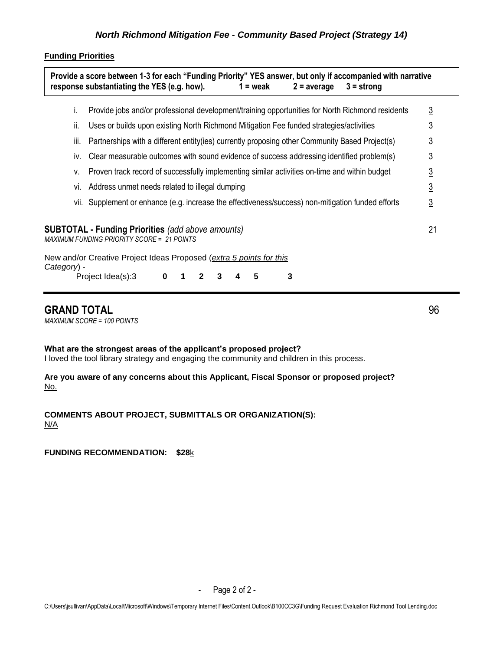## **Funding Priorities**

|                     |     | Provide a score between 1-3 for each "Funding Priority" YES answer, but only if accompanied with narrative<br>response substantiating the YES (e.g. how).<br>$1 =$ weak<br>$2 = average$<br>$3 =$ strong |                |
|---------------------|-----|----------------------------------------------------------------------------------------------------------------------------------------------------------------------------------------------------------|----------------|
|                     | ı.  | Provide jobs and/or professional development/training opportunities for North Richmond residents                                                                                                         | $\overline{3}$ |
|                     | ii. | Uses or builds upon existing North Richmond Mitigation Fee funded strategies/activities                                                                                                                  | 3              |
|                     | Ш.  | Partnerships with a different entity (ies) currently proposing other Community Based Project(s)                                                                                                          | 3              |
|                     | IV. | Clear measurable outcomes with sound evidence of success addressing identified problem(s)                                                                                                                | 3              |
|                     | v.  | Proven track record of successfully implementing similar activities on-time and within budget                                                                                                            | <u>3</u>       |
|                     | VI. | Address unmet needs related to illegal dumping                                                                                                                                                           | <u>3</u>       |
|                     |     | vii. Supplement or enhance (e.g. increase the effectiveness/success) non-mitigation funded efforts                                                                                                       | <u>3</u>       |
|                     |     | <b>SUBTOTAL - Funding Priorities</b> (add above amounts)<br><b>MAXIMUM FUNDING PRIORITY SCORE = 21 POINTS</b>                                                                                            | 21             |
| <u>Category</u> ) - |     | New and/or Creative Project Ideas Proposed (extra 5 points for this                                                                                                                                      |                |
|                     |     | Project Idea(s):3<br>3<br>0<br>5<br>2                                                                                                                                                                    |                |

## **GRAND TOTAL** 96

*MAXIMUM SCORE = 100 POINTS*

**What are the strongest areas of the applicant's proposed project?**

I loved the tool library strategy and engaging the community and children in this process.

**Are you aware of any concerns about this Applicant, Fiscal Sponsor or proposed project?** No.

**COMMENTS ABOUT PROJECT, SUBMITTALS OR ORGANIZATION(S):**  N/A

**FUNDING RECOMMENDATION: \$28**k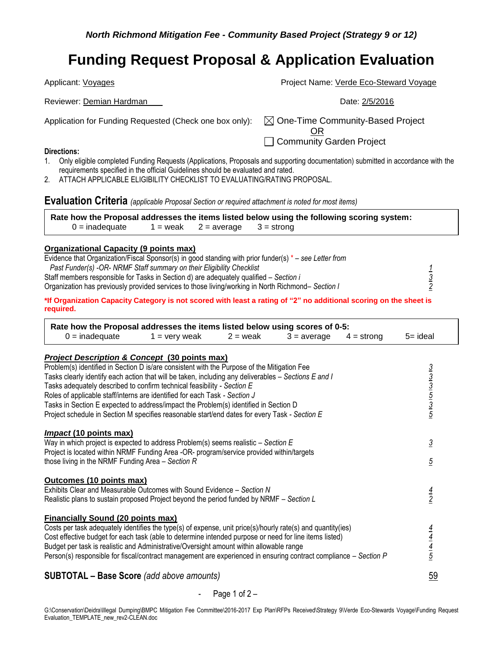Applicant: Voyages **Project Name:** Verde Eco-Steward Voyage

Application for Funding Requested (Check one box only):  $\boxtimes$  One-Time Community-Based Project

OR □ Community Garden Project

### **Directions:**

- 1. Only eligible completed Funding Requests (Applications, Proposals and supporting documentation) submitted in accordance with the requirements specified in the official Guidelines should be evaluated and rated.
- 2. ATTACH APPLICABLE ELIGIBILITY CHECKLIST TO EVALUATING/RATING PROPOSAL.

**Evaluation Criteria** *(applicable Proposal Section or required attachment is noted for most items)*

Reviewer: Demian Hardman **Date: 2/5/2016** 

**Rate how the Proposal addresses the items listed below using the following scoring system:**   $0 =$  inadequate 1 = weak 2 = average 3 = strong

## **Organizational Capacity (9 points max)**

| Evidence that Organization/Fiscal Sponsor(s) in good standing with prior funder(s) $*$ – see Letter from |  |
|----------------------------------------------------------------------------------------------------------|--|
| Past Funder(s) -OR- NRMF Staff summary on their Eligibility Checklist                                    |  |
| Staff members responsible for Tasks in Section d) are adequately qualified – Section i                   |  |
| Organization has previously provided services to those living/working in North Richmond– Section I       |  |
|                                                                                                          |  |

**\*If Organization Capacity Category is not scored with least a rating of "2" no additional scoring on the sheet is required.** 

| Rate how the Proposal addresses the items listed below using scores of 0-5:                                                                                                                                           |                 |            |               |              |                                                         |
|-----------------------------------------------------------------------------------------------------------------------------------------------------------------------------------------------------------------------|-----------------|------------|---------------|--------------|---------------------------------------------------------|
| $0 =$ inadequate                                                                                                                                                                                                      | $1 =$ very weak | $2 =$ weak | $3 = average$ | $4 =$ strong | 5= ideal                                                |
| <b>Project Description &amp; Concept (30 points max)</b>                                                                                                                                                              |                 |            |               |              |                                                         |
| Problem(s) identified in Section D is/are consistent with the Purpose of the Mitigation Fee                                                                                                                           |                 |            |               |              |                                                         |
| Tasks clearly identify each action that will be taken, including any deliverables - Sections E and I                                                                                                                  |                 |            |               |              |                                                         |
| Tasks adequately described to confirm technical feasibility - Section E                                                                                                                                               |                 |            |               |              |                                                         |
| Roles of applicable staff/interns are identified for each Task - Section J                                                                                                                                            |                 |            |               |              |                                                         |
| Tasks in Section E expected to address/impact the Problem(s) identified in Section D                                                                                                                                  |                 |            |               |              | $\frac{3}{3}$ $\frac{3}{5}$ $\frac{1}{5}$ $\frac{3}{5}$ |
| Project schedule in Section M specifies reasonable start/end dates for every Task - Section E                                                                                                                         |                 |            |               |              |                                                         |
| <b>Impact (10 points max)</b>                                                                                                                                                                                         |                 |            |               |              |                                                         |
| Way in which project is expected to address Problem(s) seems realistic $-$ Section E                                                                                                                                  |                 |            |               |              | $\overline{3}$                                          |
| Project is located within NRMF Funding Area -OR- program/service provided within/targets                                                                                                                              |                 |            |               |              |                                                         |
| those living in the NRMF Funding Area $-$ Section R                                                                                                                                                                   |                 |            |               |              | $\overline{5}$                                          |
| Outcomes (10 points max)                                                                                                                                                                                              |                 |            |               |              |                                                         |
| Exhibits Clear and Measurable Outcomes with Sound Evidence - Section N                                                                                                                                                |                 |            |               |              |                                                         |
| Realistic plans to sustain proposed Project beyond the period funded by NRMF - Section L                                                                                                                              |                 |            |               |              | $\frac{4}{2}$                                           |
|                                                                                                                                                                                                                       |                 |            |               |              |                                                         |
| <b>Financially Sound (20 points max)</b>                                                                                                                                                                              |                 |            |               |              |                                                         |
| Costs per task adequately identifies the type(s) of expense, unit price(s)/hourly rate(s) and quantity(ies)<br>Cost effective budget for each task (able to determine intended purpose or need for line items listed) |                 |            |               |              | $\frac{\frac{4}{4}}{\frac{4}{5}}$                       |
| Budget per task is realistic and Administrative/Oversight amount within allowable range                                                                                                                               |                 |            |               |              |                                                         |
| Person(s) responsible for fiscal/contract management are experienced in ensuring contract compliance – Section P                                                                                                      |                 |            |               |              |                                                         |
|                                                                                                                                                                                                                       |                 |            |               |              |                                                         |
| <b>SUBTOTAL - Base Score</b> (add above amounts)                                                                                                                                                                      |                 |            |               |              | 59                                                      |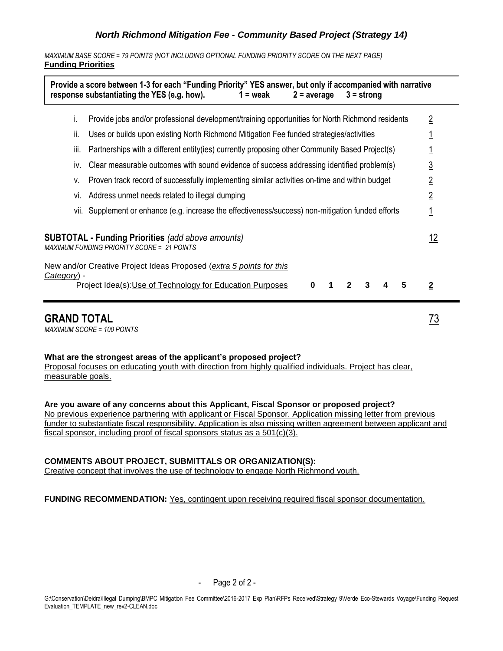*MAXIMUM BASE SCORE = 79 POINTS (NOT INCLUDING OPTIONAL FUNDING PRIORITY SCORE ON THE NEXT PAGE)* **Funding Priorities**

|             |                                                                                                        | Provide a score between 1-3 for each "Funding Priority" YES answer, but only if accompanied with narrative<br>response substantiating the YES (e.g. how).<br>$1 = \text{weak}$<br>$2 = average$<br>$3 =$ strong |                |  |
|-------------|--------------------------------------------------------------------------------------------------------|-----------------------------------------------------------------------------------------------------------------------------------------------------------------------------------------------------------------|----------------|--|
|             | İ.                                                                                                     | Provide jobs and/or professional development/training opportunities for North Richmond residents                                                                                                                | $\overline{2}$ |  |
|             | ii.                                                                                                    | Uses or builds upon existing North Richmond Mitigation Fee funded strategies/activities                                                                                                                         |                |  |
|             | Partnerships with a different entity(ies) currently proposing other Community Based Project(s)<br>iii. |                                                                                                                                                                                                                 |                |  |
|             | İV.                                                                                                    | Clear measurable outcomes with sound evidence of success addressing identified problem(s)                                                                                                                       | $\overline{3}$ |  |
|             | Proven track record of successfully implementing similar activities on-time and within budget<br>۷.    |                                                                                                                                                                                                                 |                |  |
|             | Vİ.                                                                                                    | Address unmet needs related to illegal dumping                                                                                                                                                                  | $\overline{2}$ |  |
|             |                                                                                                        | vii. Supplement or enhance (e.g. increase the effectiveness/success) non-mitigation funded efforts                                                                                                              | 1              |  |
|             |                                                                                                        | <b>SUBTOTAL - Funding Priorities</b> (add above amounts)<br>MAXIMUM FUNDING PRIORITY SCORE = 21 POINTS                                                                                                          | <u> 12</u>     |  |
|             |                                                                                                        | New and/or Creative Project Ideas Proposed (extra 5 points for this                                                                                                                                             |                |  |
| Category) - |                                                                                                        | Project Idea(s): Use of Technology for Education Purposes<br>5<br>3<br>0                                                                                                                                        | $\overline{2}$ |  |
|             |                                                                                                        | <b>GRAND TOTAL</b>                                                                                                                                                                                              | 73             |  |

*MAXIMUM SCORE = 100 POINTS*

#### **What are the strongest areas of the applicant's proposed project?**

Proposal focuses on educating youth with direction from highly qualified individuals. Project has clear, measurable goals.

**Are you aware of any concerns about this Applicant, Fiscal Sponsor or proposed project?** No previous experience partnering with applicant or Fiscal Sponsor. Application missing letter from previous funder to substantiate fiscal responsibility. Application is also missing written agreement between applicant and fiscal sponsor, including proof of fiscal sponsors status as a 501(c)(3).

## **COMMENTS ABOUT PROJECT, SUBMITTALS OR ORGANIZATION(S):**

Creative concept that involves the use of technology to engage North Richmond youth.

**FUNDING RECOMMENDATION:** Yes, contingent upon receiving required fiscal sponsor documentation.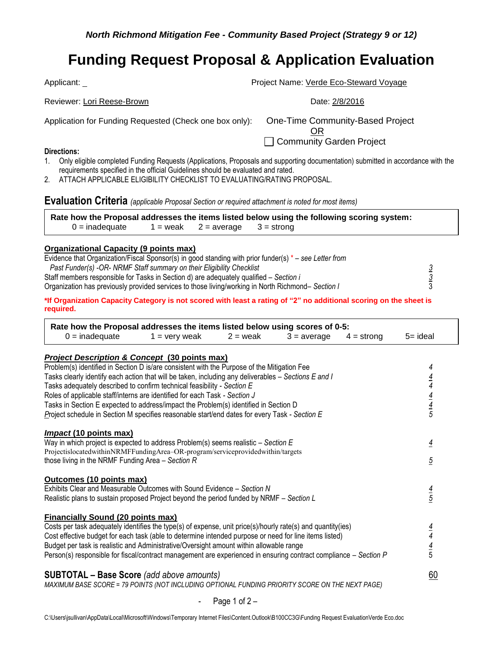Applicant: \_ **Project Name:** <u>Verde Eco-Steward Voyage</u> Project Name: <u>Verde Eco-Steward Voyage</u>

Reviewer: Lori Reese-Brown Date: 2/8/2016

Application for Funding Requested (Check one box only): One-Time Community-Based Project

OR □ Community Garden Project

- **Directions:**
- 1. Only eligible completed Funding Requests (Applications, Proposals and supporting documentation) submitted in accordance with the requirements specified in the official Guidelines should be evaluated and rated.
- 2. ATTACH APPLICABLE ELIGIBILITY CHECKLIST TO EVALUATING/RATING PROPOSAL.

**Evaluation Criteria** *(applicable Proposal Section or required attachment is noted for most items)*

**Rate how the Proposal addresses the items listed below using the following scoring system:**   $0 =$  inadequate 1 = weak 2 = average 3 = strong

### **Organizational Capacity (9 points max)**

| Evidence that Organization/Fiscal Sponsor(s) in good standing with prior funder(s) $* -$ see Letter from |  |
|----------------------------------------------------------------------------------------------------------|--|
| Past Funder(s) -OR- NRMF Staff summary on their Eligibility Checklist                                    |  |
| Staff members responsible for Tasks in Section d) are adequately qualified – Section i                   |  |
| Organization has previously provided services to those living/working in North Richmond– Section I       |  |

**\*If Organization Capacity Category is not scored with least a rating of "2" no additional scoring on the sheet is required.** 

| Rate how the Proposal addresses the items listed below using scores of 0-5:<br>$0 =$ inadequate                                                                      | $1 =$ very weak | $2 =$ weak | $3 = average$ | $4 =$ strong | $5 = ideal$    |
|----------------------------------------------------------------------------------------------------------------------------------------------------------------------|-----------------|------------|---------------|--------------|----------------|
|                                                                                                                                                                      |                 |            |               |              |                |
| <b>Project Description &amp; Concept (30 points max)</b>                                                                                                             |                 |            |               |              |                |
| Problem(s) identified in Section D is/are consistent with the Purpose of the Mitigation Fee                                                                          |                 |            |               |              | 4              |
| Tasks clearly identify each action that will be taken, including any deliverables - Sections E and I                                                                 |                 |            |               |              | $\frac{4}{4}$  |
| Tasks adequately described to confirm technical feasibility - Section E<br>Roles of applicable staff/interns are identified for each Task - Section J                |                 |            |               |              |                |
| Tasks in Section E expected to address/impact the Problem(s) identified in Section D                                                                                 |                 |            |               |              | $\frac{4}{4}$  |
| Project schedule in Section M specifies reasonable start/end dates for every Task - Section E                                                                        |                 |            |               |              |                |
|                                                                                                                                                                      |                 |            |               |              |                |
| <b>Impact (10 points max)</b>                                                                                                                                        |                 |            |               |              |                |
| Way in which project is expected to address Problem(s) seems realistic - Section E<br>ProjectislocatedwithinNRMFFundingArea-OR-program/serviceprovidedwithin/targets |                 |            |               |              | $\overline{4}$ |
| those living in the NRMF Funding Area $-$ Section R                                                                                                                  |                 |            |               |              | $\overline{5}$ |
|                                                                                                                                                                      |                 |            |               |              |                |
| Outcomes (10 points max)                                                                                                                                             |                 |            |               |              |                |
| Exhibits Clear and Measurable Outcomes with Sound Evidence - Section N                                                                                               |                 |            |               |              | $\frac{4}{5}$  |
| Realistic plans to sustain proposed Project beyond the period funded by NRMF - Section L                                                                             |                 |            |               |              |                |
| <b>Financially Sound (20 points max)</b>                                                                                                                             |                 |            |               |              |                |
| Costs per task adequately identifies the type(s) of expense, unit price(s)/hourly rate(s) and quantity(ies)                                                          |                 |            |               |              |                |
| Cost effective budget for each task (able to determine intended purpose or need for line items listed)                                                               |                 |            |               |              | $\frac{4}{4}$  |
| Budget per task is realistic and Administrative/Oversight amount within allowable range                                                                              |                 |            |               |              | $\frac{4}{5}$  |
| Person(s) responsible for fiscal/contract management are experienced in ensuring contract compliance – Section P                                                     |                 |            |               |              |                |
| <b>SUBTOTAL - Base Score</b> (add above amounts)                                                                                                                     |                 |            |               |              | 60             |
| MAXIMUM BASE SCORE = 79 POINTS (NOT INCLUDING OPTIONAL FUNDING PRIORITY SCORE ON THE NEXT PAGE)                                                                      |                 |            |               |              |                |
|                                                                                                                                                                      |                 |            |               |              |                |